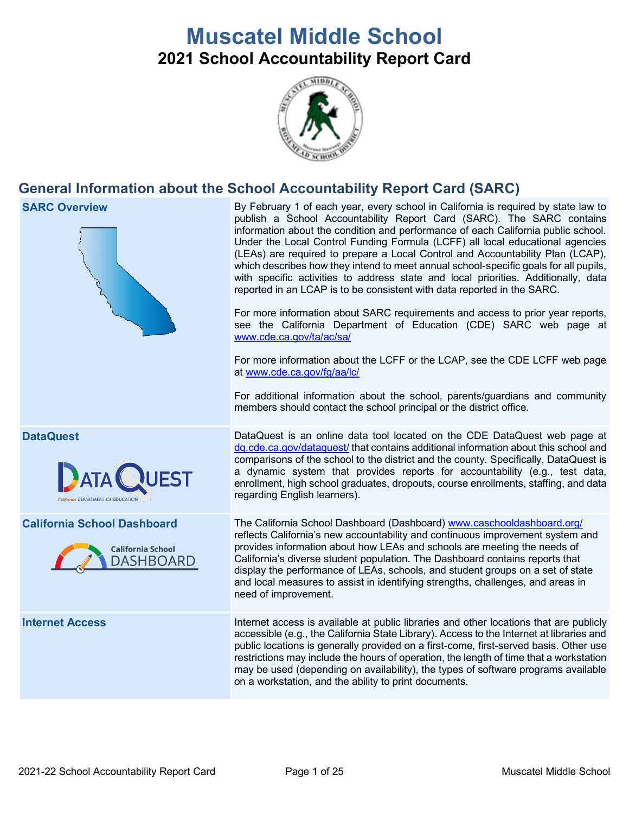# **Muscatel Middle School 2021 School Accountability Report Card**



# **General Information about the School Accountability Report Card (SARC)**

**SARC Overview** By February 1 of each year, every school in California is required by state law to publish a School Accountability Report Card (SARC). The SARC contains information about the condition and performance of each California public school. Under the Local Control Funding Formula (LCFF) all local educational agencies (LEAs) are required to prepare a Local Control and Accountability Plan (LCAP), which describes how they intend to meet annual school-specific goals for all pupils, with specific activities to address state and local priorities. Additionally, data reported in an LCAP is to be consistent with data reported in the SARC. For more information about SARC requirements and access to prior year reports, see the California Department of Education (CDE) SARC web page at [www.cde.ca.gov/ta/ac/sa/](https://www.cde.ca.gov/ta/ac/sa/) For more information about the LCFF or the LCAP, see the CDE LCFF web page at [www.cde.ca.gov/fg/aa/lc/](https://www.cde.ca.gov/fg/aa/lc/) For additional information about the school, parents/guardians and community members should contact the school principal or the district office. **DataQuest** DataQuest **DataQuest** is an online data tool located on the CDE DataQuest web page at [dq.cde.ca.gov/dataquest/](https://dq.cde.ca.gov/dataquest/) that contains additional information about this school and comparisons of the school to the district and the county. Specifically, DataQuest is a dynamic system that provides reports for accountability (e.g., test data, enrollment, high school graduates, dropouts, course enrollments, staffing, and data regarding English learners). **California School Dashboard** The California School Dashboard (Dashboard) [www.caschooldashboard.org/](http://www.caschooldashboard.org/) reflects California's new accountability and continuous improvement system and provides information about how LEAs and schools are meeting the needs of **California School** California's diverse student population. The Dashboard contains reports that **DASHBOARD** display the performance of LEAs, schools, and student groups on a set of state and local measures to assist in identifying strengths, challenges, and areas in need of improvement. **Internet Access Internet access is available at public libraries and other locations that are publicly** accessible (e.g., the California State Library). Access to the Internet at libraries and public locations is generally provided on a first-come, first-served basis. Other use restrictions may include the hours of operation, the length of time that a workstation may be used (depending on availability), the types of software programs available on a workstation, and the ability to print documents.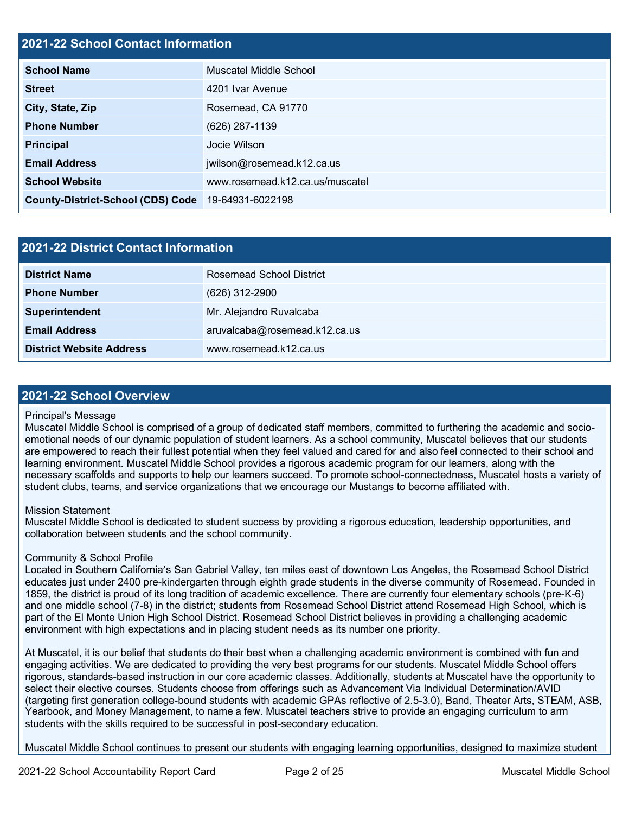#### **2021-22 School Contact Information**

| <b>School Name</b>                       | Muscatel Middle School          |  |  |  |
|------------------------------------------|---------------------------------|--|--|--|
| <b>Street</b>                            | 4201 Ivar Avenue                |  |  |  |
| City, State, Zip                         | Rosemead, CA 91770              |  |  |  |
| <b>Phone Number</b>                      | (626) 287-1139                  |  |  |  |
| <b>Principal</b>                         | Jocie Wilson                    |  |  |  |
| <b>Email Address</b>                     | jwilson@rosemead.k12.ca.us      |  |  |  |
| <b>School Website</b>                    | www.rosemead.k12.ca.us/muscatel |  |  |  |
| <b>County-District-School (CDS) Code</b> | 19-64931-6022198                |  |  |  |

| 2021-22 District Contact Information |                               |  |  |  |
|--------------------------------------|-------------------------------|--|--|--|
| <b>District Name</b>                 | Rosemead School District      |  |  |  |
| <b>Phone Number</b>                  | (626) 312-2900                |  |  |  |
| Superintendent                       | Mr. Alejandro Ruvalcaba       |  |  |  |
| <b>Email Address</b>                 | aruvalcaba@rosemead.k12.ca.us |  |  |  |
| <b>District Website Address</b>      | www.rosemead.k12.ca.us        |  |  |  |

#### **2021-22 School Overview**

#### Principal's Message

Muscatel Middle School is comprised of a group of dedicated staff members, committed to furthering the academic and socioemotional needs of our dynamic population of student learners. As a school community, Muscatel believes that our students are empowered to reach their fullest potential when they feel valued and cared for and also feel connected to their school and learning environment. Muscatel Middle School provides a rigorous academic program for our learners, along with the necessary scaffolds and supports to help our learners succeed. To promote school-connectedness, Muscatel hosts a variety of student clubs, teams, and service organizations that we encourage our Mustangs to become affiliated with.

#### Mission Statement

Muscatel Middle School is dedicated to student success by providing a rigorous education, leadership opportunities, and collaboration between students and the school community.

#### Community & School Profile

Located in Southern California's San Gabriel Valley, ten miles east of downtown Los Angeles, the Rosemead School District educates just under 2400 pre-kindergarten through eighth grade students in the diverse community of Rosemead. Founded in 1859, the district is proud of its long tradition of academic excellence. There are currently four elementary schools (pre-K-6) and one middle school (7-8) in the district; students from Rosemead School District attend Rosemead High School, which is part of the El Monte Union High School District. Rosemead School District believes in providing a challenging academic environment with high expectations and in placing student needs as its number one priority.

At Muscatel, it is our belief that students do their best when a challenging academic environment is combined with fun and engaging activities. We are dedicated to providing the very best programs for our students. Muscatel Middle School offers rigorous, standards-based instruction in our core academic classes. Additionally, students at Muscatel have the opportunity to select their elective courses. Students choose from offerings such as Advancement Via Individual Determination/AVID (targeting first generation college-bound students with academic GPAs reflective of 2.5-3.0), Band, Theater Arts, STEAM, ASB, Yearbook, and Money Management, to name a few. Muscatel teachers strive to provide an engaging curriculum to arm students with the skills required to be successful in post-secondary education.

Muscatel Middle School continues to present our students with engaging learning opportunities, designed to maximize student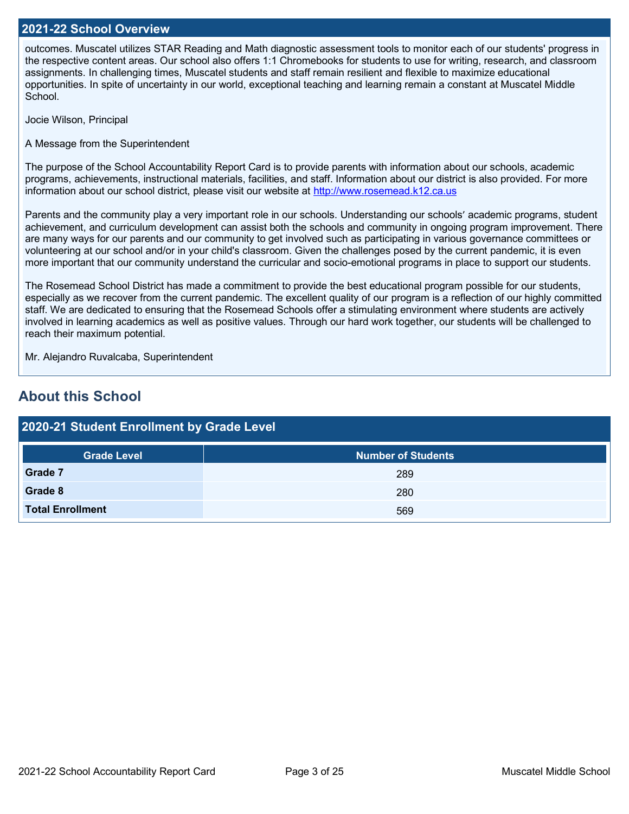#### **2021-22 School Overview**

outcomes. Muscatel utilizes STAR Reading and Math diagnostic assessment tools to monitor each of our students' progress in the respective content areas. Our school also offers 1:1 Chromebooks for students to use for writing, research, and classroom assignments. In challenging times, Muscatel students and staff remain resilient and flexible to maximize educational opportunities. In spite of uncertainty in our world, exceptional teaching and learning remain a constant at Muscatel Middle School.

Jocie Wilson, Principal

A Message from the Superintendent

The purpose of the School Accountability Report Card is to provide parents with information about our schools, academic programs, achievements, instructional materials, facilities, and staff. Information about our district is also provided. For more information about our school district, please visit our website at [http://www.rosemead.k12.ca.us](http://www.rosemead.k12.ca.us/)

Parents and the community play a very important role in our schools. Understanding our schools' academic programs, student achievement, and curriculum development can assist both the schools and community in ongoing program improvement. There are many ways for our parents and our community to get involved such as participating in various governance committees or volunteering at our school and/or in your child's classroom. Given the challenges posed by the current pandemic, it is even more important that our community understand the curricular and socio-emotional programs in place to support our students.

The Rosemead School District has made a commitment to provide the best educational program possible for our students, especially as we recover from the current pandemic. The excellent quality of our program is a reflection of our highly committed staff. We are dedicated to ensuring that the Rosemead Schools offer a stimulating environment where students are actively involved in learning academics as well as positive values. Through our hard work together, our students will be challenged to reach their maximum potential.

Mr. Alejandro Ruvalcaba, Superintendent

# **About this School**

| 2020-21 Student Enrollment by Grade Level |                           |  |  |  |
|-------------------------------------------|---------------------------|--|--|--|
| <b>Grade Level</b>                        | <b>Number of Students</b> |  |  |  |
| Grade 7                                   | 289                       |  |  |  |
| Grade 8                                   | 280                       |  |  |  |
| <b>Total Enrollment</b>                   | 569                       |  |  |  |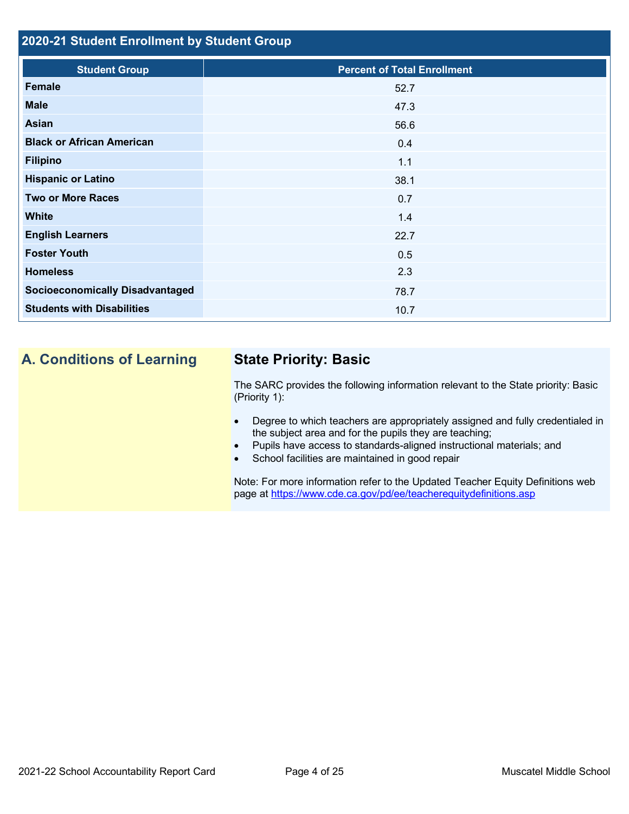### **2020-21 Student Enrollment by Student Group**

| <b>Percent of Total Enrollment</b> |
|------------------------------------|
| 52.7                               |
| 47.3                               |
| 56.6                               |
| 0.4                                |
| 1.1                                |
| 38.1                               |
| 0.7                                |
| 1.4                                |
| 22.7                               |
| 0.5                                |
| 2.3                                |
| 78.7                               |
| 10.7                               |
|                                    |

# **A. Conditions of Learning State Priority: Basic**

The SARC provides the following information relevant to the State priority: Basic (Priority 1):

- Degree to which teachers are appropriately assigned and fully credentialed in the subject area and for the pupils they are teaching;
- Pupils have access to standards-aligned instructional materials; and
- School facilities are maintained in good repair

Note: For more information refer to the Updated Teacher Equity Definitions web page at<https://www.cde.ca.gov/pd/ee/teacherequitydefinitions.asp>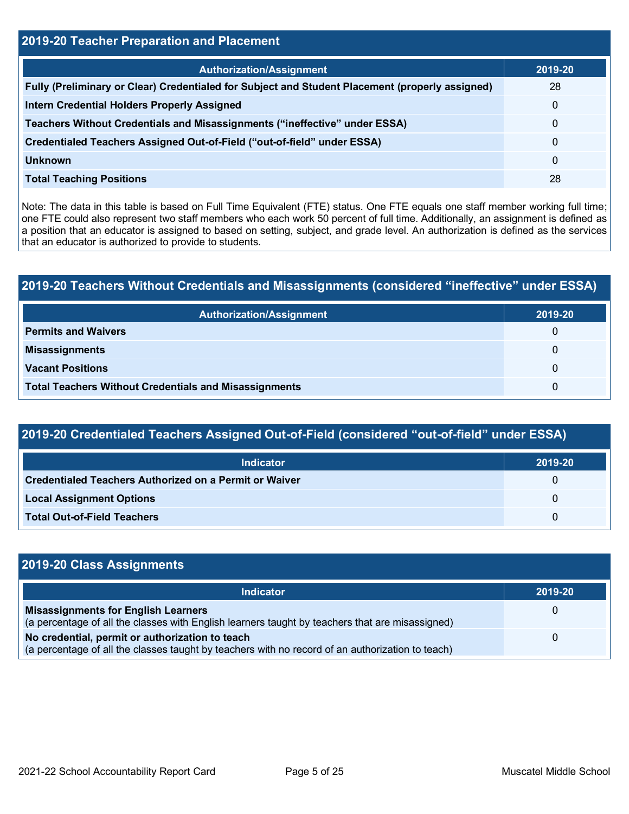# **2019-20 Teacher Preparation and Placement**

| <b>Authorization/Assignment</b>                                                                 | 2019-20 |
|-------------------------------------------------------------------------------------------------|---------|
| Fully (Preliminary or Clear) Credentialed for Subject and Student Placement (properly assigned) | 28      |
| <b>Intern Credential Holders Properly Assigned</b>                                              | 0       |
| Teachers Without Credentials and Misassignments ("ineffective" under ESSA)                      | 0       |
| Credentialed Teachers Assigned Out-of-Field ("out-of-field" under ESSA)                         | 0       |
| <b>Unknown</b>                                                                                  | 0       |
| <b>Total Teaching Positions</b>                                                                 | 28      |

Note: The data in this table is based on Full Time Equivalent (FTE) status. One FTE equals one staff member working full time; one FTE could also represent two staff members who each work 50 percent of full time. Additionally, an assignment is defined as a position that an educator is assigned to based on setting, subject, and grade level. An authorization is defined as the services that an educator is authorized to provide to students.

### **2019-20 Teachers Without Credentials and Misassignments (considered "ineffective" under ESSA)**

| <b>Authorization/Assignment</b>                              | 2019-20 |
|--------------------------------------------------------------|---------|
| <b>Permits and Waivers</b>                                   | 0       |
| <b>Misassignments</b>                                        | 0       |
| <b>Vacant Positions</b>                                      | 0       |
| <b>Total Teachers Without Credentials and Misassignments</b> | 0       |

# **2019-20 Credentialed Teachers Assigned Out-of-Field (considered "out-of-field" under ESSA)**

| <b>Indicator</b>                                              | 2019-20  |
|---------------------------------------------------------------|----------|
| <b>Credentialed Teachers Authorized on a Permit or Waiver</b> | U        |
| <b>Local Assignment Options</b>                               | $\Omega$ |
| <b>Total Out-of-Field Teachers</b>                            | $\Omega$ |

| 2019-20 Class Assignments                                                                                                                           |              |  |  |
|-----------------------------------------------------------------------------------------------------------------------------------------------------|--------------|--|--|
| Indicator                                                                                                                                           | 2019-20      |  |  |
| <b>Misassignments for English Learners</b><br>(a percentage of all the classes with English learners taught by teachers that are misassigned)       | $\mathbf{U}$ |  |  |
| No credential, permit or authorization to teach<br>(a percentage of all the classes taught by teachers with no record of an authorization to teach) | $\mathbf{U}$ |  |  |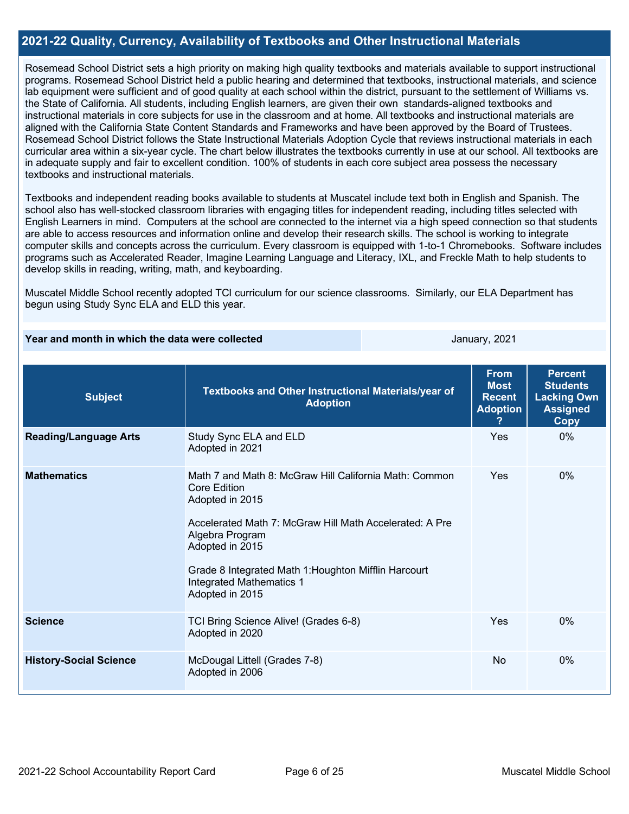#### **2021-22 Quality, Currency, Availability of Textbooks and Other Instructional Materials**

Rosemead School District sets a high priority on making high quality textbooks and materials available to support instructional programs. Rosemead School District held a public hearing and determined that textbooks, instructional materials, and science lab equipment were sufficient and of good quality at each school within the district, pursuant to the settlement of Williams vs. the State of California. All students, including English learners, are given their own standards-aligned textbooks and instructional materials in core subjects for use in the classroom and at home. All textbooks and instructional materials are aligned with the California State Content Standards and Frameworks and have been approved by the Board of Trustees. Rosemead School District follows the State Instructional Materials Adoption Cycle that reviews instructional materials in each curricular area within a six-year cycle. The chart below illustrates the textbooks currently in use at our school. All textbooks are in adequate supply and fair to excellent condition. 100% of students in each core subject area possess the necessary textbooks and instructional materials.

Textbooks and independent reading books available to students at Muscatel include text both in English and Spanish. The school also has well-stocked classroom libraries with engaging titles for independent reading, including titles selected with English Learners in mind. Computers at the school are connected to the internet via a high speed connection so that students are able to access resources and information online and develop their research skills. The school is working to integrate computer skills and concepts across the curriculum. Every classroom is equipped with 1-to-1 Chromebooks. Software includes programs such as Accelerated Reader, Imagine Learning Language and Literacy, IXL, and Freckle Math to help students to develop skills in reading, writing, math, and keyboarding.

Muscatel Middle School recently adopted TCI curriculum for our science classrooms. Similarly, our ELA Department has begun using Study Sync ELA and ELD this year.

#### **Year and month in which the data were collected January, 2021** January, 2021

| <b>Subject</b>                | Textbooks and Other Instructional Materials/year of<br><b>Adoption</b>                                                                                                                                                                                                                                          | <b>From</b><br><b>Most</b><br><b>Recent</b><br><b>Adoption</b> | <b>Percent</b><br><b>Students</b><br><b>Lacking Own</b><br><b>Assigned</b><br>Copy |
|-------------------------------|-----------------------------------------------------------------------------------------------------------------------------------------------------------------------------------------------------------------------------------------------------------------------------------------------------------------|----------------------------------------------------------------|------------------------------------------------------------------------------------|
| <b>Reading/Language Arts</b>  | Study Sync ELA and ELD<br>Adopted in 2021                                                                                                                                                                                                                                                                       | Yes                                                            | $0\%$                                                                              |
| <b>Mathematics</b>            | Math 7 and Math 8: McGraw Hill California Math: Common<br><b>Core Edition</b><br>Adopted in 2015<br>Accelerated Math 7: McGraw Hill Math Accelerated: A Pre<br>Algebra Program<br>Adopted in 2015<br>Grade 8 Integrated Math 1: Houghton Mifflin Harcourt<br><b>Integrated Mathematics 1</b><br>Adopted in 2015 | Yes                                                            | $0\%$                                                                              |
| <b>Science</b>                | TCI Bring Science Alive! (Grades 6-8)<br>Adopted in 2020                                                                                                                                                                                                                                                        | Yes                                                            | 0%                                                                                 |
| <b>History-Social Science</b> | McDougal Littell (Grades 7-8)<br>Adopted in 2006                                                                                                                                                                                                                                                                | <b>No</b>                                                      | $0\%$                                                                              |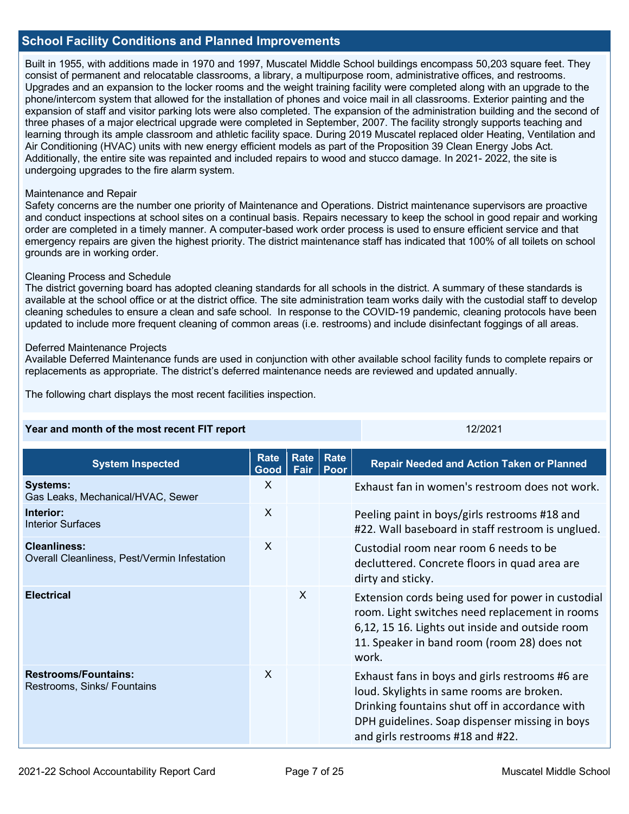#### **School Facility Conditions and Planned Improvements**

Built in 1955, with additions made in 1970 and 1997, Muscatel Middle School buildings encompass 50,203 square feet. They consist of permanent and relocatable classrooms, a library, a multipurpose room, administrative offices, and restrooms. Upgrades and an expansion to the locker rooms and the weight training facility were completed along with an upgrade to the phone/intercom system that allowed for the installation of phones and voice mail in all classrooms. Exterior painting and the expansion of staff and visitor parking lots were also completed. The expansion of the administration building and the second of three phases of a major electrical upgrade were completed in September, 2007. The facility strongly supports teaching and learning through its ample classroom and athletic facility space. During 2019 Muscatel replaced older Heating, Ventilation and Air Conditioning (HVAC) units with new energy efficient models as part of the Proposition 39 Clean Energy Jobs Act. Additionally, the entire site was repainted and included repairs to wood and stucco damage. In 2021- 2022, the site is undergoing upgrades to the fire alarm system.

#### Maintenance and Repair

Safety concerns are the number one priority of Maintenance and Operations. District maintenance supervisors are proactive and conduct inspections at school sites on a continual basis. Repairs necessary to keep the school in good repair and working order are completed in a timely manner. A computer-based work order process is used to ensure efficient service and that emergency repairs are given the highest priority. The district maintenance staff has indicated that 100% of all toilets on school grounds are in working order.

#### Cleaning Process and Schedule

The district governing board has adopted cleaning standards for all schools in the district. A summary of these standards is available at the school office or at the district office. The site administration team works daily with the custodial staff to develop cleaning schedules to ensure a clean and safe school. In response to the COVID-19 pandemic, cleaning protocols have been updated to include more frequent cleaning of common areas (i.e. restrooms) and include disinfectant foggings of all areas.

#### Deferred Maintenance Projects

Available Deferred Maintenance funds are used in conjunction with other available school facility funds to complete repairs or replacements as appropriate. The district's deferred maintenance needs are reviewed and updated annually.

The following chart displays the most recent facilities inspection.

| Year and month of the most recent FIT report                        |                     |      | 12/2021             |                                                                                                                                                                                                                                      |
|---------------------------------------------------------------------|---------------------|------|---------------------|--------------------------------------------------------------------------------------------------------------------------------------------------------------------------------------------------------------------------------------|
| <b>System Inspected</b>                                             | <b>Rate</b><br>Good | Fair | Rate   Rate<br>Poor | <b>Repair Needed and Action Taken or Planned</b>                                                                                                                                                                                     |
| <b>Systems:</b><br>Gas Leaks, Mechanical/HVAC, Sewer                | X                   |      |                     | Exhaust fan in women's restroom does not work.                                                                                                                                                                                       |
| Interior:<br><b>Interior Surfaces</b>                               | X                   |      |                     | Peeling paint in boys/girls restrooms #18 and<br>#22. Wall baseboard in staff restroom is unglued.                                                                                                                                   |
| <b>Cleanliness:</b><br>Overall Cleanliness, Pest/Vermin Infestation | X                   |      |                     | Custodial room near room 6 needs to be<br>decluttered. Concrete floors in quad area are<br>dirty and sticky.                                                                                                                         |
| <b>Electrical</b>                                                   |                     | X    |                     | Extension cords being used for power in custodial<br>room. Light switches need replacement in rooms<br>6,12, 15 16. Lights out inside and outside room<br>11. Speaker in band room (room 28) does not<br>work.                       |
| <b>Restrooms/Fountains:</b><br>Restrooms, Sinks/ Fountains          | X                   |      |                     | Exhaust fans in boys and girls restrooms #6 are<br>loud. Skylights in same rooms are broken.<br>Drinking fountains shut off in accordance with<br>DPH guidelines. Soap dispenser missing in boys<br>and girls restrooms #18 and #22. |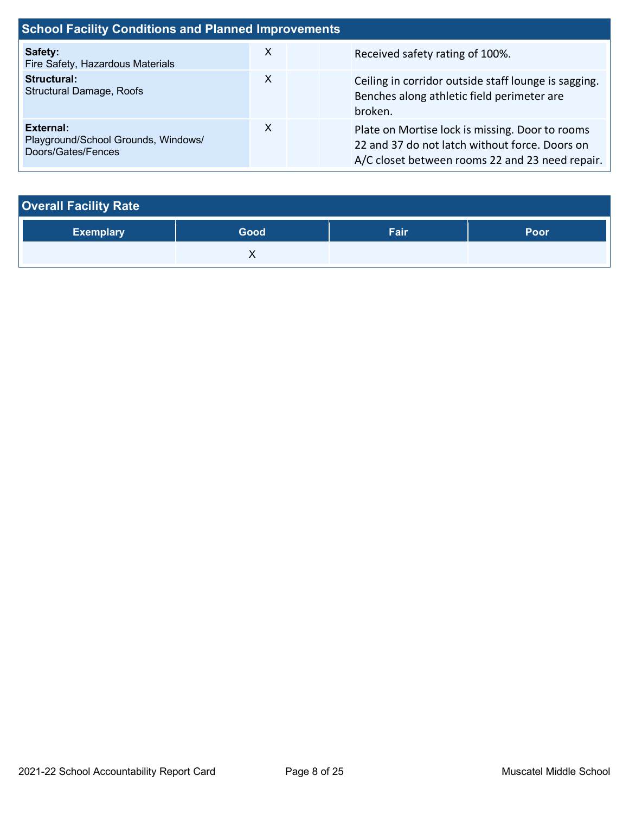| <b>School Facility Conditions and Planned Improvements</b>             |   |                                                                                                                                                      |  |  |  |
|------------------------------------------------------------------------|---|------------------------------------------------------------------------------------------------------------------------------------------------------|--|--|--|
| Safety:<br>Fire Safety, Hazardous Materials                            | X | Received safety rating of 100%.                                                                                                                      |  |  |  |
| <b>Structural:</b><br><b>Structural Damage, Roofs</b>                  | X | Ceiling in corridor outside staff lounge is sagging.<br>Benches along athletic field perimeter are<br>broken.                                        |  |  |  |
| External:<br>Playground/School Grounds, Windows/<br>Doors/Gates/Fences | X | Plate on Mortise lock is missing. Door to rooms<br>22 and 37 do not latch without force. Doors on<br>A/C closet between rooms 22 and 23 need repair. |  |  |  |

| <b>Overall Facility Rate</b> |      |      |             |  |  |
|------------------------------|------|------|-------------|--|--|
| <b>Exemplary</b>             | Good | Fair | <b>Poor</b> |  |  |
|                              |      |      |             |  |  |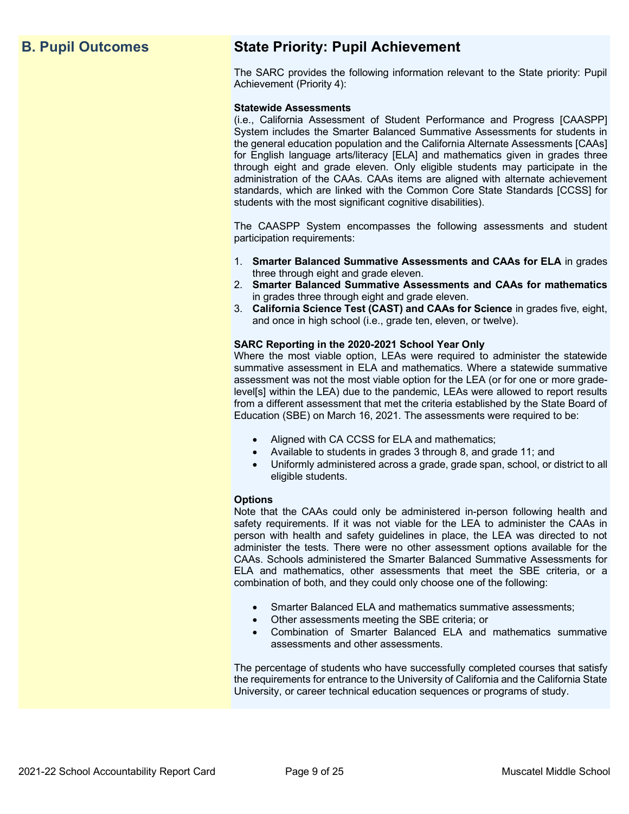# **B. Pupil Outcomes State Priority: Pupil Achievement**

The SARC provides the following information relevant to the State priority: Pupil Achievement (Priority 4):

#### **Statewide Assessments**

(i.e., California Assessment of Student Performance and Progress [CAASPP] System includes the Smarter Balanced Summative Assessments for students in the general education population and the California Alternate Assessments [CAAs] for English language arts/literacy [ELA] and mathematics given in grades three through eight and grade eleven. Only eligible students may participate in the administration of the CAAs. CAAs items are aligned with alternate achievement standards, which are linked with the Common Core State Standards [CCSS] for students with the most significant cognitive disabilities).

The CAASPP System encompasses the following assessments and student participation requirements:

- 1. **Smarter Balanced Summative Assessments and CAAs for ELA** in grades three through eight and grade eleven.
- 2. **Smarter Balanced Summative Assessments and CAAs for mathematics** in grades three through eight and grade eleven.
- 3. **California Science Test (CAST) and CAAs for Science** in grades five, eight, and once in high school (i.e., grade ten, eleven, or twelve).

#### **SARC Reporting in the 2020-2021 School Year Only**

Where the most viable option, LEAs were required to administer the statewide summative assessment in ELA and mathematics. Where a statewide summative assessment was not the most viable option for the LEA (or for one or more gradelevel[s] within the LEA) due to the pandemic, LEAs were allowed to report results from a different assessment that met the criteria established by the State Board of Education (SBE) on March 16, 2021. The assessments were required to be:

- Aligned with CA CCSS for ELA and mathematics;
- Available to students in grades 3 through 8, and grade 11; and
- Uniformly administered across a grade, grade span, school, or district to all eligible students.

#### **Options**

Note that the CAAs could only be administered in-person following health and safety requirements. If it was not viable for the LEA to administer the CAAs in person with health and safety guidelines in place, the LEA was directed to not administer the tests. There were no other assessment options available for the CAAs. Schools administered the Smarter Balanced Summative Assessments for ELA and mathematics, other assessments that meet the SBE criteria, or a combination of both, and they could only choose one of the following:

- Smarter Balanced ELA and mathematics summative assessments;
- Other assessments meeting the SBE criteria; or
- Combination of Smarter Balanced ELA and mathematics summative assessments and other assessments.

The percentage of students who have successfully completed courses that satisfy the requirements for entrance to the University of California and the California State University, or career technical education sequences or programs of study.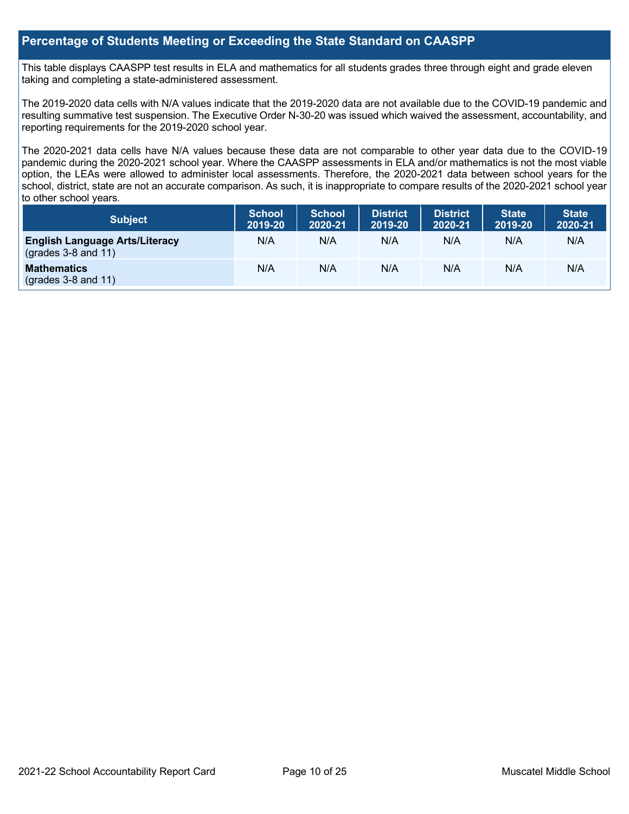#### **Percentage of Students Meeting or Exceeding the State Standard on CAASPP**

This table displays CAASPP test results in ELA and mathematics for all students grades three through eight and grade eleven taking and completing a state-administered assessment.

The 2019-2020 data cells with N/A values indicate that the 2019-2020 data are not available due to the COVID-19 pandemic and resulting summative test suspension. The Executive Order N-30-20 was issued which waived the assessment, accountability, and reporting requirements for the 2019-2020 school year.

The 2020-2021 data cells have N/A values because these data are not comparable to other year data due to the COVID-19 pandemic during the 2020-2021 school year. Where the CAASPP assessments in ELA and/or mathematics is not the most viable option, the LEAs were allowed to administer local assessments. Therefore, the 2020-2021 data between school years for the school, district, state are not an accurate comparison. As such, it is inappropriate to compare results of the 2020-2021 school year to other school years.

| Subject                                                        | <b>School</b><br>2019-20 | <b>School</b><br>2020-21 | <b>District</b><br>2019-20 | <b>District</b><br>2020-21 | <b>State</b><br>2019-20 | <b>State</b><br>2020-21 |
|----------------------------------------------------------------|--------------------------|--------------------------|----------------------------|----------------------------|-------------------------|-------------------------|
| <b>English Language Arts/Literacy</b><br>$(grades 3-8 and 11)$ | N/A                      | N/A                      | N/A                        | N/A                        | N/A                     | N/A                     |
| <b>Mathematics</b><br>$(grades 3-8 and 11)$                    | N/A                      | N/A                      | N/A                        | N/A                        | N/A                     | N/A                     |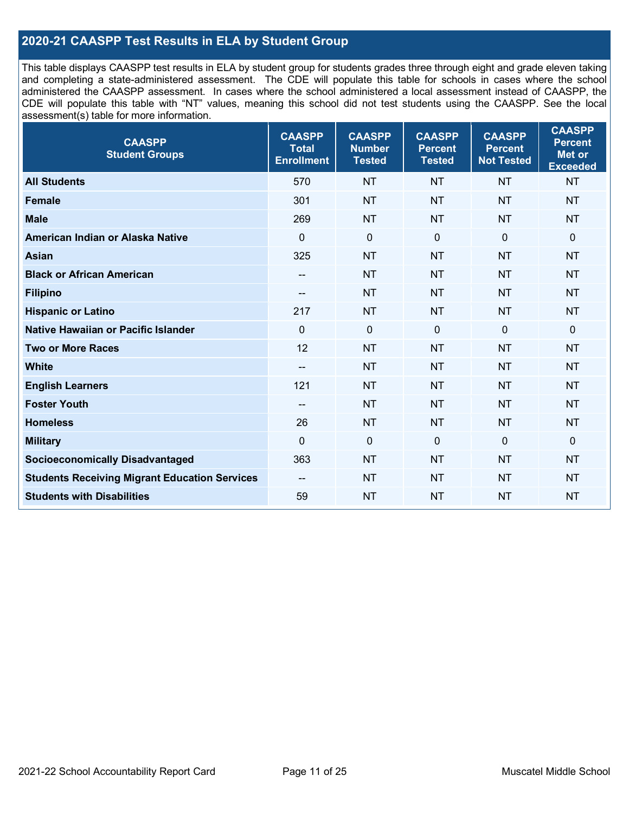### **2020-21 CAASPP Test Results in ELA by Student Group**

This table displays CAASPP test results in ELA by student group for students grades three through eight and grade eleven taking and completing a state-administered assessment. The CDE will populate this table for schools in cases where the school administered the CAASPP assessment. In cases where the school administered a local assessment instead of CAASPP, the CDE will populate this table with "NT" values, meaning this school did not test students using the CAASPP. See the local assessment(s) table for more information.

| <b>CAASPP</b><br><b>Student Groups</b>               | <b>CAASPP</b><br><b>Total</b><br><b>Enrollment</b> | <b>CAASPP</b><br><b>Number</b><br><b>Tested</b> | <b>CAASPP</b><br><b>Percent</b><br><b>Tested</b> | <b>CAASPP</b><br><b>Percent</b><br><b>Not Tested</b> | <b>CAASPP</b><br><b>Percent</b><br><b>Met or</b><br><b>Exceeded</b> |
|------------------------------------------------------|----------------------------------------------------|-------------------------------------------------|--------------------------------------------------|------------------------------------------------------|---------------------------------------------------------------------|
| <b>All Students</b>                                  | 570                                                | <b>NT</b>                                       | <b>NT</b>                                        | <b>NT</b>                                            | <b>NT</b>                                                           |
| <b>Female</b>                                        | 301                                                | <b>NT</b>                                       | <b>NT</b>                                        | <b>NT</b>                                            | <b>NT</b>                                                           |
| <b>Male</b>                                          | 269                                                | <b>NT</b>                                       | <b>NT</b>                                        | <b>NT</b>                                            | <b>NT</b>                                                           |
| American Indian or Alaska Native                     | 0                                                  | $\mathbf 0$                                     | $\mathbf 0$                                      | $\mathbf 0$                                          | $\mathbf 0$                                                         |
| <b>Asian</b>                                         | 325                                                | <b>NT</b>                                       | <b>NT</b>                                        | <b>NT</b>                                            | <b>NT</b>                                                           |
| <b>Black or African American</b>                     | $\overline{\phantom{a}}$                           | <b>NT</b>                                       | <b>NT</b>                                        | <b>NT</b>                                            | <b>NT</b>                                                           |
| <b>Filipino</b>                                      | --                                                 | <b>NT</b>                                       | <b>NT</b>                                        | <b>NT</b>                                            | <b>NT</b>                                                           |
| <b>Hispanic or Latino</b>                            | 217                                                | <b>NT</b>                                       | <b>NT</b>                                        | <b>NT</b>                                            | <b>NT</b>                                                           |
| Native Hawaiian or Pacific Islander                  | $\mathbf 0$                                        | $\mathbf 0$                                     | $\mathbf{0}$                                     | $\overline{0}$                                       | 0                                                                   |
| <b>Two or More Races</b>                             | 12                                                 | <b>NT</b>                                       | <b>NT</b>                                        | <b>NT</b>                                            | <b>NT</b>                                                           |
| <b>White</b>                                         | --                                                 | <b>NT</b>                                       | <b>NT</b>                                        | <b>NT</b>                                            | <b>NT</b>                                                           |
| <b>English Learners</b>                              | 121                                                | <b>NT</b>                                       | <b>NT</b>                                        | <b>NT</b>                                            | <b>NT</b>                                                           |
| <b>Foster Youth</b>                                  | --                                                 | <b>NT</b>                                       | <b>NT</b>                                        | <b>NT</b>                                            | <b>NT</b>                                                           |
| <b>Homeless</b>                                      | 26                                                 | <b>NT</b>                                       | <b>NT</b>                                        | <b>NT</b>                                            | <b>NT</b>                                                           |
| <b>Military</b>                                      | $\mathbf 0$                                        | $\mathbf 0$                                     | $\mathbf 0$                                      | $\mathbf 0$                                          | $\mathbf 0$                                                         |
| <b>Socioeconomically Disadvantaged</b>               | 363                                                | <b>NT</b>                                       | <b>NT</b>                                        | <b>NT</b>                                            | <b>NT</b>                                                           |
| <b>Students Receiving Migrant Education Services</b> |                                                    | <b>NT</b>                                       | <b>NT</b>                                        | <b>NT</b>                                            | <b>NT</b>                                                           |
| <b>Students with Disabilities</b>                    | 59                                                 | <b>NT</b>                                       | <b>NT</b>                                        | <b>NT</b>                                            | <b>NT</b>                                                           |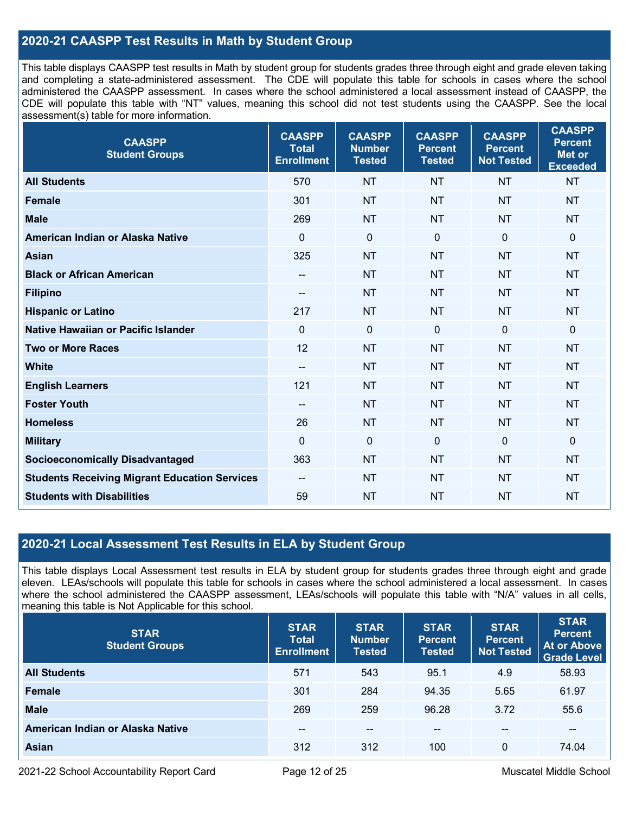### **2020-21 CAASPP Test Results in Math by Student Group**

This table displays CAASPP test results in Math by student group for students grades three through eight and grade eleven taking and completing a state-administered assessment. The CDE will populate this table for schools in cases where the school administered the CAASPP assessment. In cases where the school administered a local assessment instead of CAASPP, the CDE will populate this table with "NT" values, meaning this school did not test students using the CAASPP. See the local assessment(s) table for more information.

| <b>CAASPP</b><br><b>Student Groups</b>               | <b>CAASPP</b><br><b>Total</b><br><b>Enrollment</b> | <b>CAASPP</b><br><b>Number</b><br><b>Tested</b> | <b>CAASPP</b><br><b>Percent</b><br><b>Tested</b> | <b>CAASPP</b><br><b>Percent</b><br><b>Not Tested</b> | <b>CAASPP</b><br><b>Percent</b><br><b>Met or</b><br><b>Exceeded</b> |
|------------------------------------------------------|----------------------------------------------------|-------------------------------------------------|--------------------------------------------------|------------------------------------------------------|---------------------------------------------------------------------|
| <b>All Students</b>                                  | 570                                                | <b>NT</b>                                       | <b>NT</b>                                        | <b>NT</b>                                            | <b>NT</b>                                                           |
| <b>Female</b>                                        | 301                                                | <b>NT</b>                                       | <b>NT</b>                                        | <b>NT</b>                                            | <b>NT</b>                                                           |
| <b>Male</b>                                          | 269                                                | <b>NT</b>                                       | <b>NT</b>                                        | <b>NT</b>                                            | <b>NT</b>                                                           |
| American Indian or Alaska Native                     | $\mathbf 0$                                        | $\mathbf 0$                                     | $\mathbf 0$                                      | 0                                                    | $\mathbf 0$                                                         |
| <b>Asian</b>                                         | 325                                                | <b>NT</b>                                       | <b>NT</b>                                        | <b>NT</b>                                            | <b>NT</b>                                                           |
| <b>Black or African American</b>                     | $\hspace{0.05cm}$                                  | NT                                              | <b>NT</b>                                        | <b>NT</b>                                            | <b>NT</b>                                                           |
| <b>Filipino</b>                                      | --                                                 | <b>NT</b>                                       | <b>NT</b>                                        | <b>NT</b>                                            | <b>NT</b>                                                           |
| <b>Hispanic or Latino</b>                            | 217                                                | <b>NT</b>                                       | <b>NT</b>                                        | <b>NT</b>                                            | <b>NT</b>                                                           |
| Native Hawaiian or Pacific Islander                  | $\mathbf 0$                                        | $\mathbf 0$                                     | $\mathbf 0$                                      | $\overline{0}$                                       | $\mathbf 0$                                                         |
| <b>Two or More Races</b>                             | 12                                                 | <b>NT</b>                                       | <b>NT</b>                                        | <b>NT</b>                                            | <b>NT</b>                                                           |
| <b>White</b>                                         | --                                                 | <b>NT</b>                                       | <b>NT</b>                                        | <b>NT</b>                                            | <b>NT</b>                                                           |
| <b>English Learners</b>                              | 121                                                | <b>NT</b>                                       | <b>NT</b>                                        | <b>NT</b>                                            | <b>NT</b>                                                           |
| <b>Foster Youth</b>                                  | --                                                 | <b>NT</b>                                       | <b>NT</b>                                        | <b>NT</b>                                            | <b>NT</b>                                                           |
| <b>Homeless</b>                                      | 26                                                 | <b>NT</b>                                       | <b>NT</b>                                        | <b>NT</b>                                            | <b>NT</b>                                                           |
| <b>Military</b>                                      | $\mathbf 0$                                        | $\mathbf 0$                                     | $\mathbf 0$                                      | $\mathbf 0$                                          | $\mathbf 0$                                                         |
| <b>Socioeconomically Disadvantaged</b>               | 363                                                | <b>NT</b>                                       | <b>NT</b>                                        | <b>NT</b>                                            | <b>NT</b>                                                           |
| <b>Students Receiving Migrant Education Services</b> |                                                    | <b>NT</b>                                       | <b>NT</b>                                        | <b>NT</b>                                            | <b>NT</b>                                                           |
| <b>Students with Disabilities</b>                    | 59                                                 | <b>NT</b>                                       | <b>NT</b>                                        | <b>NT</b>                                            | <b>NT</b>                                                           |

#### **2020-21 Local Assessment Test Results in ELA by Student Group**

This table displays Local Assessment test results in ELA by student group for students grades three through eight and grade eleven. LEAs/schools will populate this table for schools in cases where the school administered a local assessment. In cases where the school administered the CAASPP assessment, LEAs/schools will populate this table with "N/A" values in all cells, meaning this table is Not Applicable for this school.

| <b>STAR</b><br><b>Student Groups</b> | <b>STAR</b><br><b>Total</b><br><b>Enrollment</b> | <b>STAR</b><br><b>Number</b><br><b>Tested</b> | <b>STAR</b><br><b>Percent</b><br><b>Tested</b> | <b>STAR</b><br><b>Percent</b><br>Not Tested | <b>STAR</b><br><b>Percent</b><br><b>At or Above</b><br><b>Grade Level</b> |
|--------------------------------------|--------------------------------------------------|-----------------------------------------------|------------------------------------------------|---------------------------------------------|---------------------------------------------------------------------------|
| <b>All Students</b>                  | 571                                              | 543                                           | 95.1                                           | 4.9                                         | 58.93                                                                     |
| Female                               | 301                                              | 284                                           | 94.35                                          | 5.65                                        | 61.97                                                                     |
| <b>Male</b>                          | 269                                              | 259                                           | 96.28                                          | 3.72                                        | 55.6                                                                      |
| American Indian or Alaska Native     | $- -$                                            | --                                            | $\sim$ $\sim$                                  | --                                          | --                                                                        |
| Asian                                | 312                                              | 312                                           | 100                                            | 0                                           | 74.04                                                                     |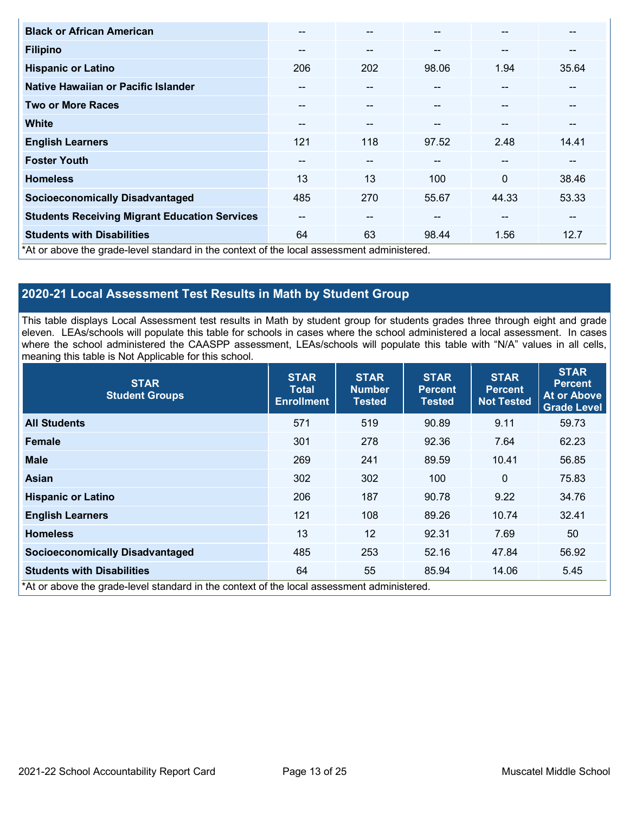| <b>Black or African American</b>                                                           | --     | $\sim$                   | --    | --                       | --              |
|--------------------------------------------------------------------------------------------|--------|--------------------------|-------|--------------------------|-----------------|
| <b>Filipino</b>                                                                            | --     | --                       | $- -$ | --                       | --              |
| <b>Hispanic or Latino</b>                                                                  | 206    | 202                      | 98.06 | 1.94                     | 35.64           |
| Native Hawaiian or Pacific Islander                                                        | --     |                          |       | --                       |                 |
| <b>Two or More Races</b>                                                                   | --     | --                       |       |                          |                 |
| <b>White</b>                                                                               | --     | --                       | --    | --                       | --              |
| <b>English Learners</b>                                                                    | 121    | 118                      | 97.52 | 2.48                     | 14.41           |
| <b>Foster Youth</b>                                                                        | $\sim$ | $\overline{\phantom{a}}$ | $- -$ | $\overline{\phantom{a}}$ | --              |
| <b>Homeless</b>                                                                            | 13     | 13                       | 100   | $\Omega$                 | 38.46           |
| <b>Socioeconomically Disadvantaged</b>                                                     | 485    | 270                      | 55.67 | 44.33                    | 53.33           |
| <b>Students Receiving Migrant Education Services</b>                                       | --     | --                       | $- -$ | --                       | $\qquad \qquad$ |
| <b>Students with Disabilities</b>                                                          | 64     | 63                       | 98.44 | 1.56                     | 12.7            |
| *At or above the grade-level standard in the context of the local assessment administered. |        |                          |       |                          |                 |

### **2020-21 Local Assessment Test Results in Math by Student Group**

This table displays Local Assessment test results in Math by student group for students grades three through eight and grade eleven. LEAs/schools will populate this table for schools in cases where the school administered a local assessment. In cases where the school administered the CAASPP assessment, LEAs/schools will populate this table with "N/A" values in all cells, meaning this table is Not Applicable for this school.

| <b>STAR</b><br><b>Student Groups</b>                                                       | <b>STAR</b><br><b>Total</b><br><b>Enrollment</b> | <b>STAR</b><br><b>Number</b><br><b>Tested</b> | <b>STAR</b><br><b>Percent</b><br><b>Tested</b> | <b>STAR</b><br><b>Percent</b><br><b>Not Tested</b> | <b>STAR</b><br><b>Percent</b><br><b>At or Above</b><br><b>Grade Level</b> |
|--------------------------------------------------------------------------------------------|--------------------------------------------------|-----------------------------------------------|------------------------------------------------|----------------------------------------------------|---------------------------------------------------------------------------|
| <b>All Students</b>                                                                        | 571                                              | 519                                           | 90.89                                          | 9.11                                               | 59.73                                                                     |
| <b>Female</b>                                                                              | 301                                              | 278                                           | 92.36                                          | 7.64                                               | 62.23                                                                     |
| <b>Male</b>                                                                                | 269                                              | 241                                           | 89.59                                          | 10.41                                              | 56.85                                                                     |
| Asian                                                                                      | 302                                              | 302                                           | 100                                            | $\Omega$                                           | 75.83                                                                     |
| <b>Hispanic or Latino</b>                                                                  | 206                                              | 187                                           | 90.78                                          | 9.22                                               | 34.76                                                                     |
| <b>English Learners</b>                                                                    | 121                                              | 108                                           | 89.26                                          | 10.74                                              | 32.41                                                                     |
| <b>Homeless</b>                                                                            | 13                                               | 12                                            | 92.31                                          | 7.69                                               | 50                                                                        |
| <b>Socioeconomically Disadvantaged</b>                                                     | 485                                              | 253                                           | 52.16                                          | 47.84                                              | 56.92                                                                     |
| <b>Students with Disabilities</b>                                                          | 64                                               | 55                                            | 85.94                                          | 14.06                                              | 5.45                                                                      |
| *At or above the grade-level standard in the context of the local assessment administered. |                                                  |                                               |                                                |                                                    |                                                                           |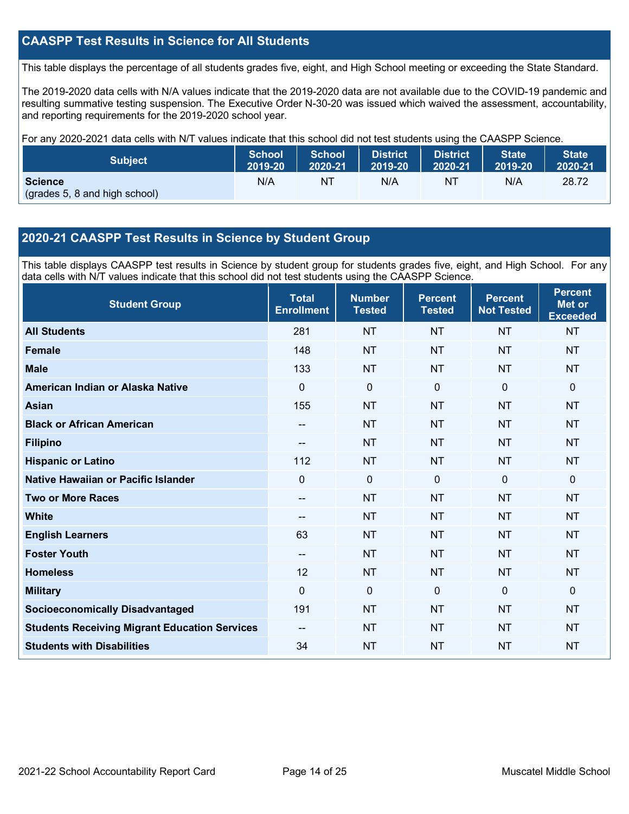### **CAASPP Test Results in Science for All Students**

This table displays the percentage of all students grades five, eight, and High School meeting or exceeding the State Standard.

The 2019-2020 data cells with N/A values indicate that the 2019-2020 data are not available due to the COVID-19 pandemic and resulting summative testing suspension. The Executive Order N-30-20 was issued which waived the assessment, accountability, and reporting requirements for the 2019-2020 school year.

For any 2020-2021 data cells with N/T values indicate that this school did not test students using the CAASPP Science.

| <b>Subject</b>                                  | <b>School</b> | <b>School</b> | District | <b>District</b> | State   | <b>State</b> |
|-------------------------------------------------|---------------|---------------|----------|-----------------|---------|--------------|
|                                                 | 2019-20       | 2020-21       | 2019-20  | 2020-21         | 2019-20 | 2020-21      |
| <b>Science</b><br>(grades 5, 8 and high school) | N/A           | ΝT            | N/A      | NT              | N/A     | 28.72        |

#### **2020-21 CAASPP Test Results in Science by Student Group**

This table displays CAASPP test results in Science by student group for students grades five, eight, and High School. For any data cells with N/T values indicate that this school did not test students using the CAASPP Science.

| <b>Student Group</b>                                 | <b>Total</b><br><b>Enrollment</b> | <b>Number</b><br><b>Tested</b> | <b>Percent</b><br><b>Tested</b> | <b>Percent</b><br><b>Not Tested</b> | <b>Percent</b><br><b>Met or</b><br><b>Exceeded</b> |
|------------------------------------------------------|-----------------------------------|--------------------------------|---------------------------------|-------------------------------------|----------------------------------------------------|
| <b>All Students</b>                                  | 281                               | <b>NT</b>                      | <b>NT</b>                       | <b>NT</b>                           | <b>NT</b>                                          |
| Female                                               | 148                               | <b>NT</b>                      | <b>NT</b>                       | <b>NT</b>                           | <b>NT</b>                                          |
| <b>Male</b>                                          | 133                               | <b>NT</b>                      | <b>NT</b>                       | <b>NT</b>                           | <b>NT</b>                                          |
| American Indian or Alaska Native                     | 0                                 | $\mathbf 0$                    | $\mathbf{0}$                    | $\mathbf{0}$                        | $\mathbf{0}$                                       |
| <b>Asian</b>                                         | 155                               | <b>NT</b>                      | <b>NT</b>                       | <b>NT</b>                           | <b>NT</b>                                          |
| <b>Black or African American</b>                     | --                                | <b>NT</b>                      | <b>NT</b>                       | <b>NT</b>                           | <b>NT</b>                                          |
| <b>Filipino</b>                                      | --                                | <b>NT</b>                      | <b>NT</b>                       | <b>NT</b>                           | <b>NT</b>                                          |
| <b>Hispanic or Latino</b>                            | 112                               | NT                             | <b>NT</b>                       | <b>NT</b>                           | <b>NT</b>                                          |
| Native Hawaiian or Pacific Islander                  | 0                                 | $\mathbf 0$                    | $\Omega$                        | $\mathbf 0$                         | $\mathbf{0}$                                       |
| <b>Two or More Races</b>                             | --                                | <b>NT</b>                      | <b>NT</b>                       | <b>NT</b>                           | <b>NT</b>                                          |
| <b>White</b>                                         | --                                | <b>NT</b>                      | <b>NT</b>                       | <b>NT</b>                           | <b>NT</b>                                          |
| <b>English Learners</b>                              | 63                                | <b>NT</b>                      | <b>NT</b>                       | <b>NT</b>                           | <b>NT</b>                                          |
| <b>Foster Youth</b>                                  | --                                | <b>NT</b>                      | <b>NT</b>                       | <b>NT</b>                           | <b>NT</b>                                          |
| <b>Homeless</b>                                      | 12                                | <b>NT</b>                      | <b>NT</b>                       | <b>NT</b>                           | <b>NT</b>                                          |
| <b>Military</b>                                      | 0                                 | $\mathbf 0$                    | $\mathbf{0}$                    | $\Omega$                            | $\mathbf 0$                                        |
| <b>Socioeconomically Disadvantaged</b>               | 191                               | <b>NT</b>                      | <b>NT</b>                       | <b>NT</b>                           | <b>NT</b>                                          |
| <b>Students Receiving Migrant Education Services</b> | --                                | <b>NT</b>                      | <b>NT</b>                       | <b>NT</b>                           | <b>NT</b>                                          |
| <b>Students with Disabilities</b>                    | 34                                | <b>NT</b>                      | <b>NT</b>                       | <b>NT</b>                           | <b>NT</b>                                          |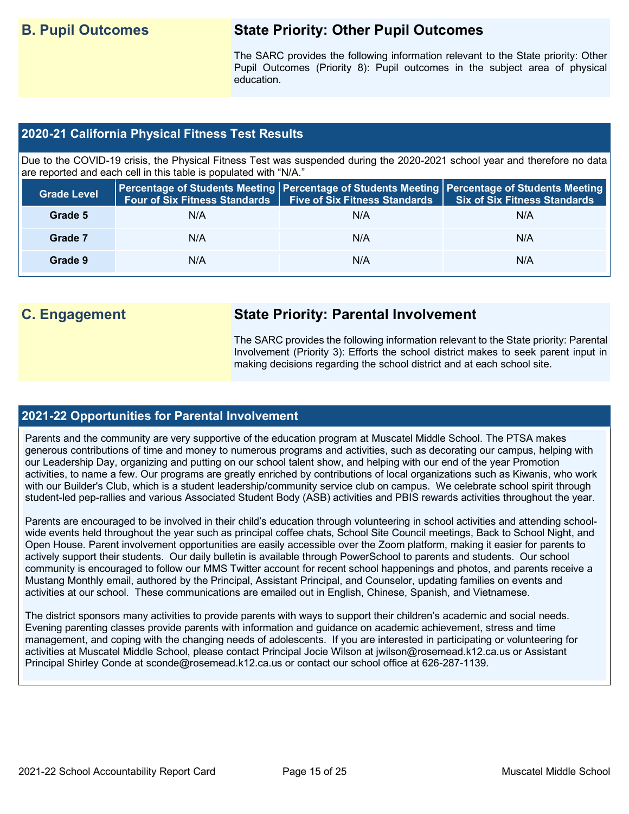# **B. Pupil Outcomes State Priority: Other Pupil Outcomes**

The SARC provides the following information relevant to the State priority: Other Pupil Outcomes (Priority 8): Pupil outcomes in the subject area of physical education.

#### **2020-21 California Physical Fitness Test Results**

Due to the COVID-19 crisis, the Physical Fitness Test was suspended during the 2020-2021 school year and therefore no data are reported and each cell in this table is populated with "N/A."

| <b>Grade Level</b> |     | Four of Six Fitness Standards   Five of Six Fitness Standards   Six of Six Fitness Standards | Percentage of Students Meeting   Percentage of Students Meeting   Percentage of Students Meeting |
|--------------------|-----|----------------------------------------------------------------------------------------------|--------------------------------------------------------------------------------------------------|
| Grade 5            | N/A | N/A                                                                                          | N/A                                                                                              |
| Grade 7            | N/A | N/A                                                                                          | N/A                                                                                              |
| Grade 9            | N/A | N/A                                                                                          | N/A                                                                                              |

# **C. Engagement State Priority: Parental Involvement**

The SARC provides the following information relevant to the State priority: Parental Involvement (Priority 3): Efforts the school district makes to seek parent input in making decisions regarding the school district and at each school site.

#### **2021-22 Opportunities for Parental Involvement**

Parents and the community are very supportive of the education program at Muscatel Middle School. The PTSA makes generous contributions of time and money to numerous programs and activities, such as decorating our campus, helping with our Leadership Day, organizing and putting on our school talent show, and helping with our end of the year Promotion activities, to name a few. Our programs are greatly enriched by contributions of local organizations such as Kiwanis, who work with our Builder's Club, which is a student leadership/community service club on campus. We celebrate school spirit through student-led pep-rallies and various Associated Student Body (ASB) activities and PBIS rewards activities throughout the year.

Parents are encouraged to be involved in their child's education through volunteering in school activities and attending schoolwide events held throughout the year such as principal coffee chats, School Site Council meetings, Back to School Night, and Open House. Parent involvement opportunities are easily accessible over the Zoom platform, making it easier for parents to actively support their students. Our daily bulletin is available through PowerSchool to parents and students. Our school community is encouraged to follow our MMS Twitter account for recent school happenings and photos, and parents receive a Mustang Monthly email, authored by the Principal, Assistant Principal, and Counselor, updating families on events and activities at our school. These communications are emailed out in English, Chinese, Spanish, and Vietnamese.

The district sponsors many activities to provide parents with ways to support their children's academic and social needs. Evening parenting classes provide parents with information and guidance on academic achievement, stress and time management, and coping with the changing needs of adolescents. If you are interested in participating or volunteering for activities at Muscatel Middle School, please contact Principal Jocie Wilson at jwilson@rosemead.k12.ca.us or Assistant Principal Shirley Conde at sconde@rosemead.k12.ca.us or contact our school office at 626-287-1139.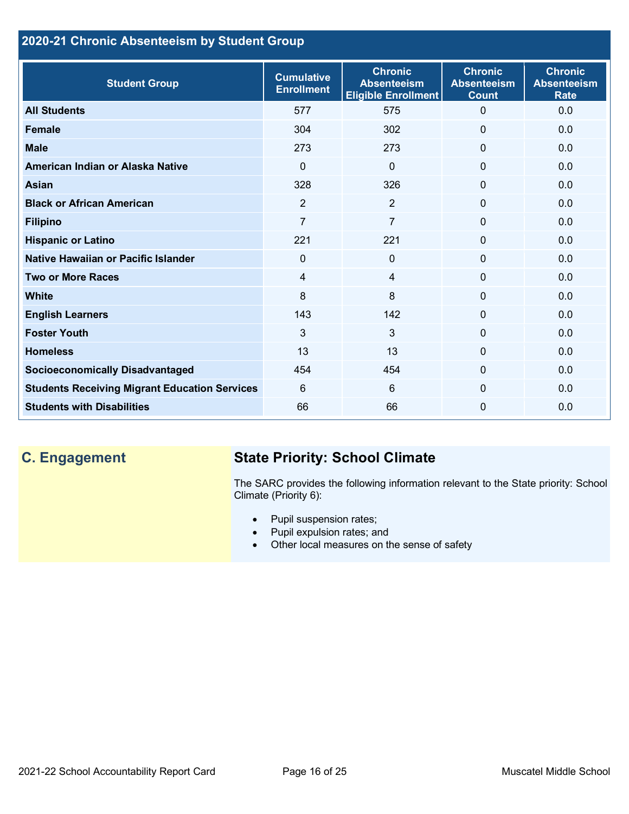# **2020-21 Chronic Absenteeism by Student Group**

| <b>Student Group</b>                                 | <b>Cumulative</b><br><b>Enrollment</b> | <b>Chronic</b><br><b>Absenteeism</b><br><b>Eligible Enrollment</b> | <b>Chronic</b><br><b>Absenteeism</b><br><b>Count</b> | <b>Chronic</b><br><b>Absenteeism</b><br><b>Rate</b> |
|------------------------------------------------------|----------------------------------------|--------------------------------------------------------------------|------------------------------------------------------|-----------------------------------------------------|
| <b>All Students</b>                                  | 577                                    | 575                                                                | 0                                                    | 0.0                                                 |
| <b>Female</b>                                        | 304                                    | 302                                                                | $\Omega$                                             | 0.0                                                 |
| <b>Male</b>                                          | 273                                    | 273                                                                | $\mathbf{0}$                                         | 0.0                                                 |
| American Indian or Alaska Native                     | $\Omega$                               | $\Omega$                                                           | 0                                                    | 0.0                                                 |
| <b>Asian</b>                                         | 328                                    | 326                                                                | 0                                                    | 0.0                                                 |
| <b>Black or African American</b>                     | $\overline{2}$                         | $\overline{2}$                                                     | $\mathbf{0}$                                         | 0.0                                                 |
| <b>Filipino</b>                                      | $\overline{7}$                         | $\overline{7}$                                                     | $\mathbf 0$                                          | 0.0                                                 |
| <b>Hispanic or Latino</b>                            | 221                                    | 221                                                                | 0                                                    | 0.0                                                 |
| Native Hawaiian or Pacific Islander                  | 0                                      | $\mathbf 0$                                                        | 0                                                    | 0.0                                                 |
| <b>Two or More Races</b>                             | 4                                      | $\overline{4}$                                                     | 0                                                    | 0.0                                                 |
| <b>White</b>                                         | 8                                      | 8                                                                  | 0                                                    | 0.0                                                 |
| <b>English Learners</b>                              | 143                                    | 142                                                                | $\Omega$                                             | 0.0                                                 |
| <b>Foster Youth</b>                                  | 3                                      | 3                                                                  | 0                                                    | 0.0                                                 |
| <b>Homeless</b>                                      | 13                                     | 13                                                                 | 0                                                    | 0.0                                                 |
| <b>Socioeconomically Disadvantaged</b>               | 454                                    | 454                                                                | 0                                                    | 0.0                                                 |
| <b>Students Receiving Migrant Education Services</b> | 6                                      | 6                                                                  | 0                                                    | 0.0                                                 |
| <b>Students with Disabilities</b>                    | 66                                     | 66                                                                 | 0                                                    | 0.0                                                 |

# **C. Engagement State Priority: School Climate**

The SARC provides the following information relevant to the State priority: School Climate (Priority 6):

- Pupil suspension rates;
- Pupil expulsion rates; and
- Other local measures on the sense of safety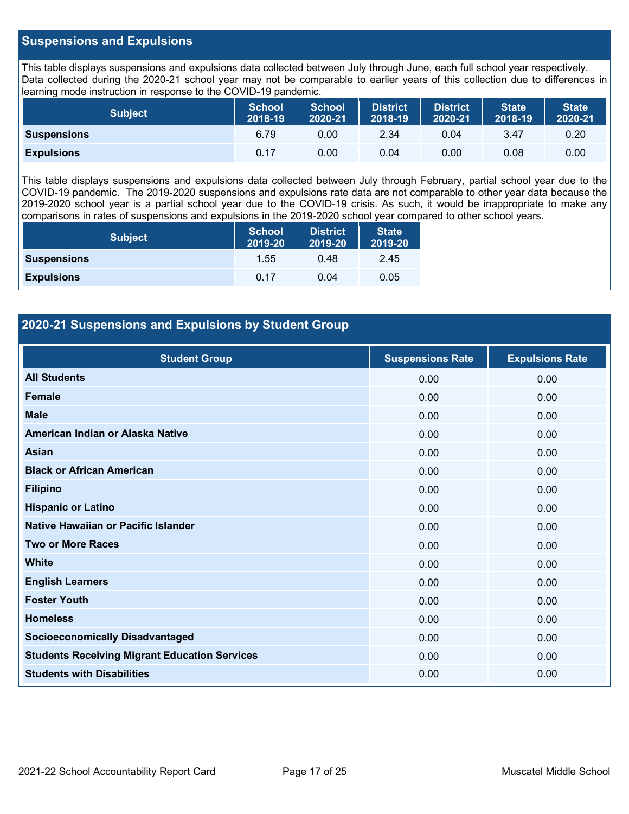#### **Suspensions and Expulsions**

This table displays suspensions and expulsions data collected between July through June, each full school year respectively. Data collected during the 2020-21 school year may not be comparable to earlier years of this collection due to differences in learning mode instruction in response to the COVID-19 pandemic.

| <b>Subject</b>     | <b>School</b><br>2018-19 | <b>School</b><br>2020-21 | <b>District</b><br>2018-19 | <b>District</b><br>2020-21 | State <sup>1</sup><br>2018-19 | <b>State</b><br>2020-21 |
|--------------------|--------------------------|--------------------------|----------------------------|----------------------------|-------------------------------|-------------------------|
| <b>Suspensions</b> | 6.79                     | 0.00                     | 2.34                       | 0.04                       | 3.47                          | 0.20                    |
| <b>Expulsions</b>  | 0.17                     | 0.00                     | 0.04                       | 0.00                       | 0.08                          | 0.00                    |

This table displays suspensions and expulsions data collected between July through February, partial school year due to the COVID-19 pandemic. The 2019-2020 suspensions and expulsions rate data are not comparable to other year data because the 2019-2020 school year is a partial school year due to the COVID-19 crisis. As such, it would be inappropriate to make any comparisons in rates of suspensions and expulsions in the 2019-2020 school year compared to other school years.

| <b>Subject</b>     | <b>School</b><br>2019-20 | <b>District</b><br>2019-20 | <b>State</b><br>2019-20 |
|--------------------|--------------------------|----------------------------|-------------------------|
| <b>Suspensions</b> | 1.55                     | 0.48                       | 2.45                    |
| <b>Expulsions</b>  | 0.17                     | 0.04                       | 0.05                    |

### **2020-21 Suspensions and Expulsions by Student Group**

| <b>Student Group</b>                                 | <b>Suspensions Rate</b> | <b>Expulsions Rate</b> |
|------------------------------------------------------|-------------------------|------------------------|
| <b>All Students</b>                                  | 0.00                    | 0.00                   |
| <b>Female</b>                                        | 0.00                    | 0.00                   |
| <b>Male</b>                                          | 0.00                    | 0.00                   |
| American Indian or Alaska Native                     | 0.00                    | 0.00                   |
| <b>Asian</b>                                         | 0.00                    | 0.00                   |
| <b>Black or African American</b>                     | 0.00                    | 0.00                   |
| <b>Filipino</b>                                      | 0.00                    | 0.00                   |
| <b>Hispanic or Latino</b>                            | 0.00                    | 0.00                   |
| Native Hawaiian or Pacific Islander                  | 0.00                    | 0.00                   |
| <b>Two or More Races</b>                             | 0.00                    | 0.00                   |
| <b>White</b>                                         | 0.00                    | 0.00                   |
| <b>English Learners</b>                              | 0.00                    | 0.00                   |
| <b>Foster Youth</b>                                  | 0.00                    | 0.00                   |
| <b>Homeless</b>                                      | 0.00                    | 0.00                   |
| <b>Socioeconomically Disadvantaged</b>               | 0.00                    | 0.00                   |
| <b>Students Receiving Migrant Education Services</b> | 0.00                    | 0.00                   |
| <b>Students with Disabilities</b>                    | 0.00                    | 0.00                   |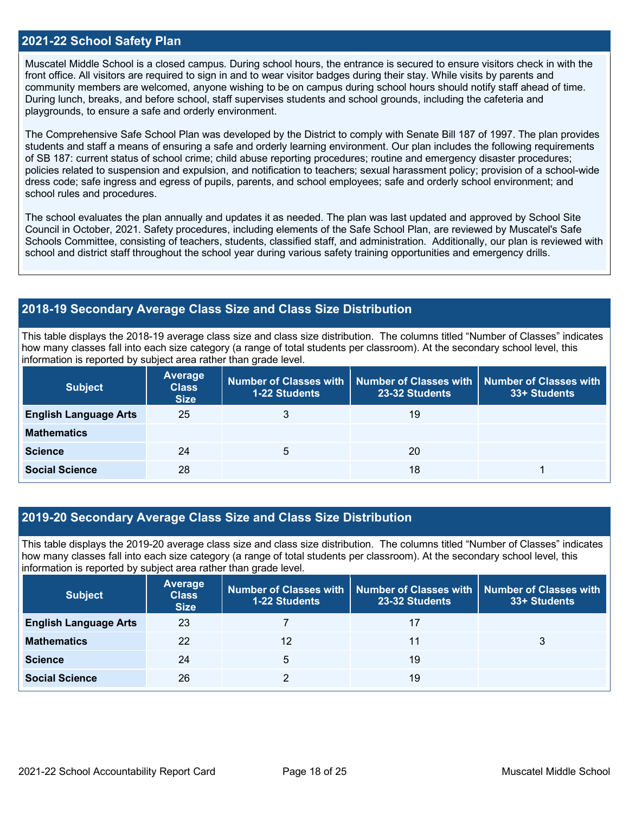#### **2021-22 School Safety Plan**

Muscatel Middle School is a closed campus. During school hours, the entrance is secured to ensure visitors check in with the front office. All visitors are required to sign in and to wear visitor badges during their stay. While visits by parents and community members are welcomed, anyone wishing to be on campus during school hours should notify staff ahead of time. During lunch, breaks, and before school, staff supervises students and school grounds, including the cafeteria and playgrounds, to ensure a safe and orderly environment.

The Comprehensive Safe School Plan was developed by the District to comply with Senate Bill 187 of 1997. The plan provides students and staff a means of ensuring a safe and orderly learning environment. Our plan includes the following requirements of SB 187: current status of school crime; child abuse reporting procedures; routine and emergency disaster procedures; policies related to suspension and expulsion, and notification to teachers; sexual harassment policy; provision of a school-wide dress code; safe ingress and egress of pupils, parents, and school employees; safe and orderly school environment; and school rules and procedures.

The school evaluates the plan annually and updates it as needed. The plan was last updated and approved by School Site Council in October, 2021. Safety procedures, including elements of the Safe School Plan, are reviewed by Muscatel's Safe Schools Committee, consisting of teachers, students, classified staff, and administration. Additionally, our plan is reviewed with school and district staff throughout the school year during various safety training opportunities and emergency drills.

#### **2018-19 Secondary Average Class Size and Class Size Distribution**

This table displays the 2018-19 average class size and class size distribution. The columns titled "Number of Classes" indicates how many classes fall into each size category (a range of total students per classroom). At the secondary school level, this information is reported by subject area rather than grade level.

| <b>Subject</b>               | Average<br><b>Class</b><br><b>Size</b> | 1-22 Students | Number of Classes with   Number of Classes with   Number of Classes with<br>23-32 Students | 33+ Students |
|------------------------------|----------------------------------------|---------------|--------------------------------------------------------------------------------------------|--------------|
| <b>English Language Arts</b> | 25                                     | 3             | 19                                                                                         |              |
| <b>Mathematics</b>           |                                        |               |                                                                                            |              |
| <b>Science</b>               | 24                                     | 5             | <b>20</b>                                                                                  |              |
| <b>Social Science</b>        | 28                                     |               | 18                                                                                         |              |

#### **2019-20 Secondary Average Class Size and Class Size Distribution**

This table displays the 2019-20 average class size and class size distribution. The columns titled "Number of Classes" indicates how many classes fall into each size category (a range of total students per classroom). At the secondary school level, this information is reported by subject area rather than grade level.

| <b>Subject</b>               | <b>Average</b><br><b>Class</b><br><b>Size</b> | <b>1-22 Students</b> | Number of Classes with   Number of Classes with   Number of Classes with<br>23-32 Students | 33+ Students |
|------------------------------|-----------------------------------------------|----------------------|--------------------------------------------------------------------------------------------|--------------|
| <b>English Language Arts</b> | 23                                            |                      | 17                                                                                         |              |
| <b>Mathematics</b>           | 22                                            | 12                   | 11                                                                                         |              |
| <b>Science</b>               | 24                                            | 5                    | 19                                                                                         |              |
| <b>Social Science</b>        | 26                                            |                      | 19                                                                                         |              |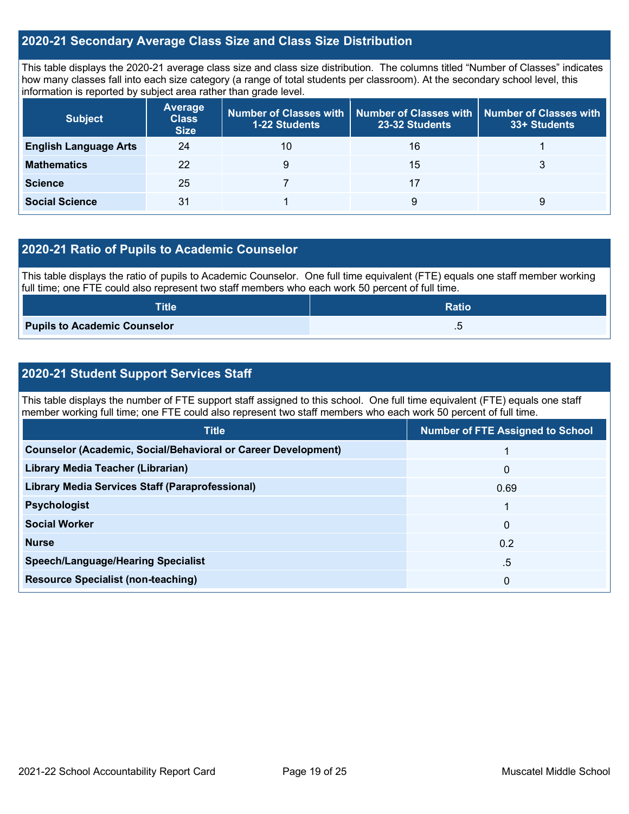#### **2020-21 Secondary Average Class Size and Class Size Distribution**

This table displays the 2020-21 average class size and class size distribution. The columns titled "Number of Classes" indicates how many classes fall into each size category (a range of total students per classroom). At the secondary school level, this information is reported by subject area rather than grade level.

| <b>Subject</b>               | <b>Average</b><br><b>Class</b><br><b>Size</b> | <b>1-22 Students</b> | Number of Classes with $\mid$ Number of Classes with $\mid$ Number of Classes with<br>23-32 Students | 33+ Students |
|------------------------------|-----------------------------------------------|----------------------|------------------------------------------------------------------------------------------------------|--------------|
| <b>English Language Arts</b> | 24                                            | 10                   | 16                                                                                                   |              |
| <b>Mathematics</b>           | 22                                            | 9                    | 15                                                                                                   |              |
| <b>Science</b>               | 25                                            |                      |                                                                                                      |              |
| <b>Social Science</b>        | 31                                            |                      | 9                                                                                                    | 9            |

#### **2020-21 Ratio of Pupils to Academic Counselor**

This table displays the ratio of pupils to Academic Counselor. One full time equivalent (FTE) equals one staff member working full time; one FTE could also represent two staff members who each work 50 percent of full time.

| <b>Title</b>                        | <b>Ratio</b> |
|-------------------------------------|--------------|
| <b>Pupils to Academic Counselor</b> | . ب          |

### **2020-21 Student Support Services Staff**

This table displays the number of FTE support staff assigned to this school. One full time equivalent (FTE) equals one staff member working full time; one FTE could also represent two staff members who each work 50 percent of full time.

| <b>Title</b>                                                         | <b>Number of FTE Assigned to School</b> |
|----------------------------------------------------------------------|-----------------------------------------|
| <b>Counselor (Academic, Social/Behavioral or Career Development)</b> |                                         |
| Library Media Teacher (Librarian)                                    | $\mathbf{0}$                            |
| <b>Library Media Services Staff (Paraprofessional)</b>               | 0.69                                    |
| <b>Psychologist</b>                                                  |                                         |
| <b>Social Worker</b>                                                 | $\mathbf{0}$                            |
| <b>Nurse</b>                                                         | 0.2                                     |
| <b>Speech/Language/Hearing Specialist</b>                            | .5                                      |
| <b>Resource Specialist (non-teaching)</b>                            | 0                                       |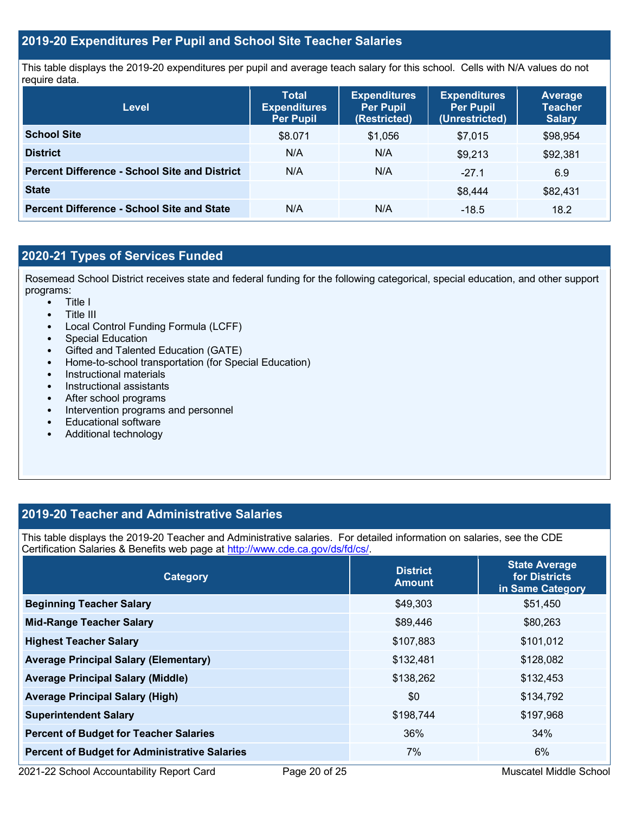#### **2019-20 Expenditures Per Pupil and School Site Teacher Salaries**

This table displays the 2019-20 expenditures per pupil and average teach salary for this school. Cells with N/A values do not require data.

| <b>Level</b>                                         | <b>Total</b><br><b>Expenditures</b><br><b>Per Pupil</b> | <b>Expenditures</b><br><b>Per Pupil</b><br>(Restricted) | <b>Expenditures</b><br><b>Per Pupil</b><br>(Unrestricted) | Average<br><b>Teacher</b><br><b>Salary</b> |
|------------------------------------------------------|---------------------------------------------------------|---------------------------------------------------------|-----------------------------------------------------------|--------------------------------------------|
| <b>School Site</b>                                   | \$8.071                                                 | \$1,056                                                 | \$7.015                                                   | \$98,954                                   |
| <b>District</b>                                      | N/A                                                     | N/A                                                     | \$9,213                                                   | \$92,381                                   |
| <b>Percent Difference - School Site and District</b> | N/A                                                     | N/A                                                     | $-271$                                                    | 6.9                                        |
| <b>State</b>                                         |                                                         |                                                         | \$8,444                                                   | \$82,431                                   |
| <b>Percent Difference - School Site and State</b>    | N/A                                                     | N/A                                                     | $-18.5$                                                   | 18.2                                       |

## **2020-21 Types of Services Funded**

Rosemead School District receives state and federal funding for the following categorical, special education, and other support programs:

- Title I
- Title III
- Local Control Funding Formula (LCFF)
- Special Education
- Gifted and Talented Education (GATE)<br>• Home-to-school transportation (for Spe
- Home-to-school transportation (for Special Education)
- Instructional materials
- Instructional assistants
- After school programs
- Intervention programs and personnel
- Educational software
- Additional technology

#### **2019-20 Teacher and Administrative Salaries**

This table displays the 2019-20 Teacher and Administrative salaries. For detailed information on salaries, see the CDE Certification Salaries & Benefits web page at [http://www.cde.ca.gov/ds/fd/cs/.](http://www.cde.ca.gov/ds/fd/cs/)

| <b>Category</b>                                      | <b>District</b><br><b>Amount</b> | <b>State Average</b><br>for Districts<br>in Same Category |
|------------------------------------------------------|----------------------------------|-----------------------------------------------------------|
| <b>Beginning Teacher Salary</b>                      | \$49,303                         | \$51,450                                                  |
| <b>Mid-Range Teacher Salary</b>                      | \$89,446                         | \$80,263                                                  |
| <b>Highest Teacher Salary</b>                        | \$107,883                        | \$101,012                                                 |
| <b>Average Principal Salary (Elementary)</b>         | \$132,481                        | \$128,082                                                 |
| <b>Average Principal Salary (Middle)</b>             | \$138,262                        | \$132,453                                                 |
| <b>Average Principal Salary (High)</b>               | \$0                              | \$134,792                                                 |
| <b>Superintendent Salary</b>                         | \$198,744                        | \$197,968                                                 |
| <b>Percent of Budget for Teacher Salaries</b>        | 36%                              | 34%                                                       |
| <b>Percent of Budget for Administrative Salaries</b> | 7%                               | 6%                                                        |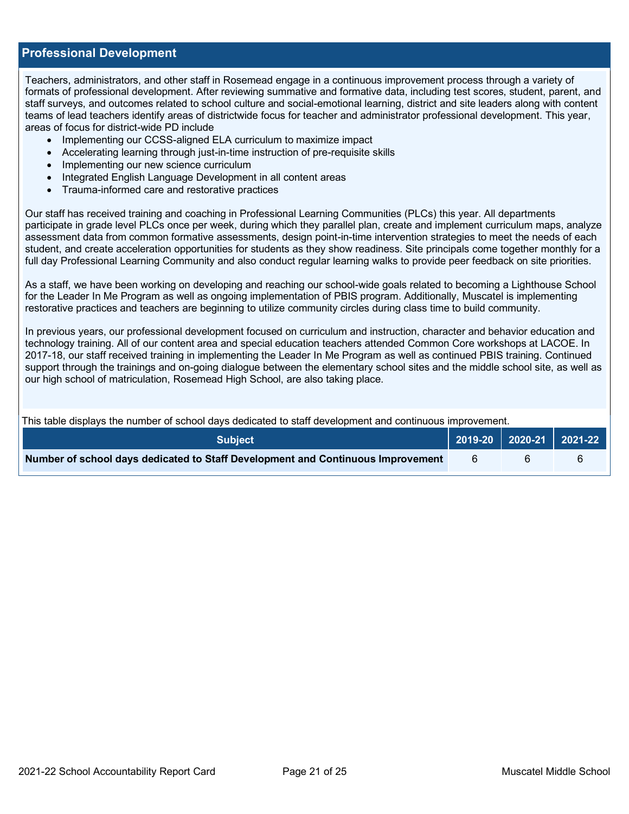#### **Professional Development**

Teachers, administrators, and other staff in Rosemead engage in a continuous improvement process through a variety of formats of professional development. After reviewing summative and formative data, including test scores, student, parent, and staff surveys, and outcomes related to school culture and social-emotional learning, district and site leaders along with content teams of lead teachers identify areas of districtwide focus for teacher and administrator professional development. This year, areas of focus for district-wide PD include

- Implementing our CCSS-aligned ELA curriculum to maximize impact
- Accelerating learning through just-in-time instruction of pre-requisite skills
- Implementing our new science curriculum
- Integrated English Language Development in all content areas
- Trauma-informed care and restorative practices

Our staff has received training and coaching in Professional Learning Communities (PLCs) this year. All departments participate in grade level PLCs once per week, during which they parallel plan, create and implement curriculum maps, analyze assessment data from common formative assessments, design point-in-time intervention strategies to meet the needs of each student, and create acceleration opportunities for students as they show readiness. Site principals come together monthly for a full day Professional Learning Community and also conduct regular learning walks to provide peer feedback on site priorities.

As a staff, we have been working on developing and reaching our school-wide goals related to becoming a Lighthouse School for the Leader In Me Program as well as ongoing implementation of PBIS program. Additionally, Muscatel is implementing restorative practices and teachers are beginning to utilize community circles during class time to build community.

In previous years, our professional development focused on curriculum and instruction, character and behavior education and technology training. All of our content area and special education teachers attended Common Core workshops at LACOE. In 2017-18, our staff received training in implementing the Leader In Me Program as well as continued PBIS training. Continued support through the trainings and on-going dialogue between the elementary school sites and the middle school site, as well as our high school of matriculation, Rosemead High School, are also taking place.

This table displays the number of school days dedicated to staff development and continuous improvement.

| <b>Subject</b>                                                                  | 2019-20   2020-21   2021-22 |  |
|---------------------------------------------------------------------------------|-----------------------------|--|
| Number of school days dedicated to Staff Development and Continuous Improvement |                             |  |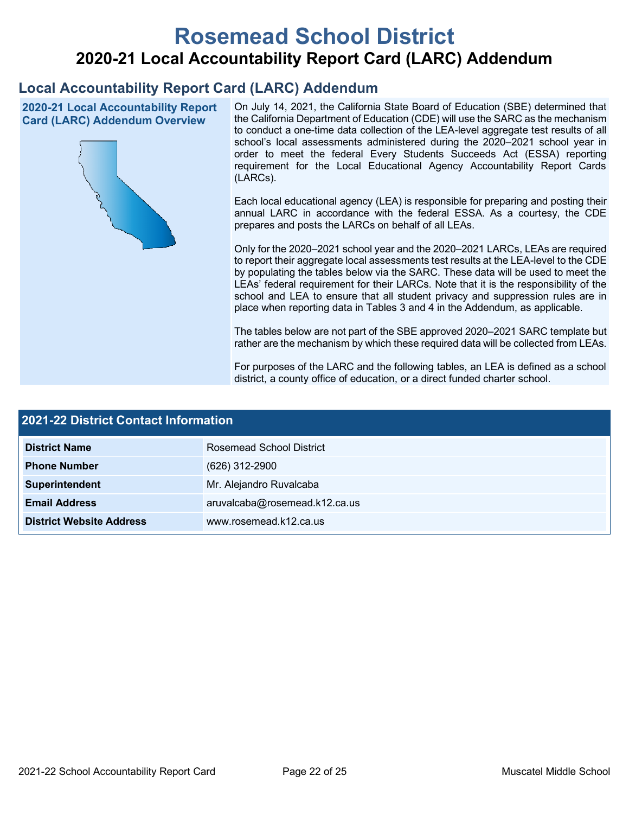# **Rosemead School District 2020-21 Local Accountability Report Card (LARC) Addendum**

# **Local Accountability Report Card (LARC) Addendum**

**2020-21 Local Accountability Report Card (LARC) Addendum Overview**



On July 14, 2021, the California State Board of Education (SBE) determined that the California Department of Education (CDE) will use the SARC as the mechanism to conduct a one-time data collection of the LEA-level aggregate test results of all school's local assessments administered during the 2020–2021 school year in order to meet the federal Every Students Succeeds Act (ESSA) reporting requirement for the Local Educational Agency Accountability Report Cards (LARCs).

Each local educational agency (LEA) is responsible for preparing and posting their annual LARC in accordance with the federal ESSA. As a courtesy, the CDE prepares and posts the LARCs on behalf of all LEAs.

Only for the 2020–2021 school year and the 2020–2021 LARCs, LEAs are required to report their aggregate local assessments test results at the LEA-level to the CDE by populating the tables below via the SARC. These data will be used to meet the LEAs' federal requirement for their LARCs. Note that it is the responsibility of the school and LEA to ensure that all student privacy and suppression rules are in place when reporting data in Tables 3 and 4 in the Addendum, as applicable.

The tables below are not part of the SBE approved 2020–2021 SARC template but rather are the mechanism by which these required data will be collected from LEAs.

For purposes of the LARC and the following tables, an LEA is defined as a school district, a county office of education, or a direct funded charter school.

| <b>2021-22 District Contact Information</b> |                               |  |  |  |
|---------------------------------------------|-------------------------------|--|--|--|
| <b>District Name</b>                        | Rosemead School District      |  |  |  |
| <b>Phone Number</b>                         | $(626)$ 312-2900              |  |  |  |
| Superintendent                              | Mr. Alejandro Ruvalcaba       |  |  |  |
| <b>Email Address</b>                        | aruvalcaba@rosemead.k12.ca.us |  |  |  |
| <b>District Website Address</b>             | www.rosemead.k12.ca.us        |  |  |  |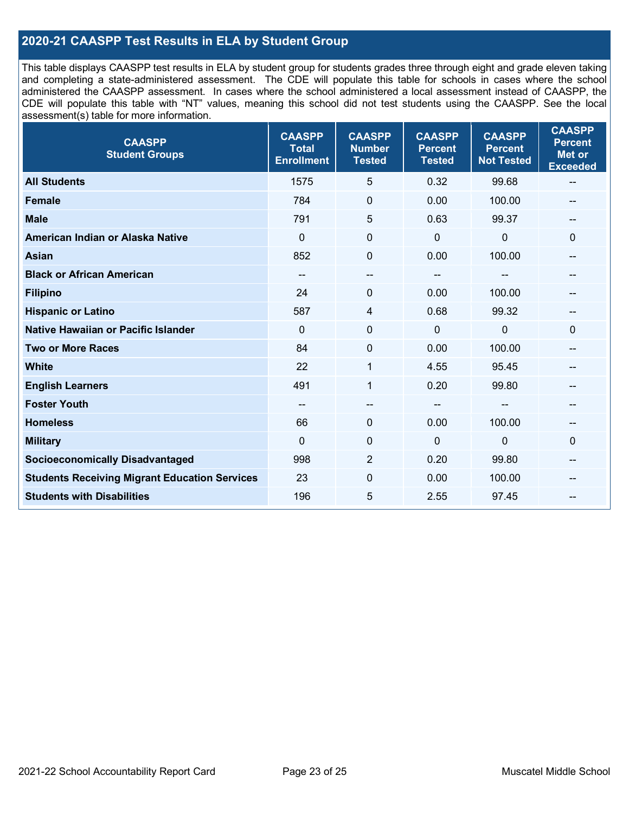### **2020-21 CAASPP Test Results in ELA by Student Group**

This table displays CAASPP test results in ELA by student group for students grades three through eight and grade eleven taking and completing a state-administered assessment. The CDE will populate this table for schools in cases where the school administered the CAASPP assessment. In cases where the school administered a local assessment instead of CAASPP, the CDE will populate this table with "NT" values, meaning this school did not test students using the CAASPP. See the local assessment(s) table for more information.

| <b>CAASPP</b><br><b>Student Groups</b>               | <b>CAASPP</b><br><b>Total</b><br><b>Enrollment</b> | <b>CAASPP</b><br><b>Number</b><br><b>Tested</b> | <b>CAASPP</b><br><b>Percent</b><br><b>Tested</b> | <b>CAASPP</b><br><b>Percent</b><br><b>Not Tested</b> | <b>CAASPP</b><br><b>Percent</b><br><b>Met or</b><br><b>Exceeded</b> |
|------------------------------------------------------|----------------------------------------------------|-------------------------------------------------|--------------------------------------------------|------------------------------------------------------|---------------------------------------------------------------------|
| <b>All Students</b>                                  | 1575                                               | 5                                               | 0.32                                             | 99.68                                                | $\overline{\phantom{a}}$                                            |
| <b>Female</b>                                        | 784                                                | $\mathbf 0$                                     | 0.00                                             | 100.00                                               |                                                                     |
| <b>Male</b>                                          | 791                                                | 5                                               | 0.63                                             | 99.37                                                | --                                                                  |
| American Indian or Alaska Native                     | $\mathbf 0$                                        | $\mathbf 0$                                     | $\mathbf 0$                                      | 0                                                    | $\mathbf 0$                                                         |
| <b>Asian</b>                                         | 852                                                | 0                                               | 0.00                                             | 100.00                                               |                                                                     |
| <b>Black or African American</b>                     | --                                                 | $\overline{\phantom{m}}$                        |                                                  |                                                      | --                                                                  |
| <b>Filipino</b>                                      | 24                                                 | 0                                               | 0.00                                             | 100.00                                               |                                                                     |
| <b>Hispanic or Latino</b>                            | 587                                                | 4                                               | 0.68                                             | 99.32                                                |                                                                     |
| <b>Native Hawaiian or Pacific Islander</b>           | $\mathbf{0}$                                       | $\mathbf 0$                                     | $\mathbf{0}$                                     | 0                                                    | $\mathbf 0$                                                         |
| <b>Two or More Races</b>                             | 84                                                 | $\boldsymbol{0}$                                | 0.00                                             | 100.00                                               | --                                                                  |
| <b>White</b>                                         | 22                                                 | 1                                               | 4.55                                             | 95.45                                                | --                                                                  |
| <b>English Learners</b>                              | 491                                                | $\mathbf{1}$                                    | 0.20                                             | 99.80                                                |                                                                     |
| <b>Foster Youth</b>                                  |                                                    | --                                              | --                                               | --                                                   |                                                                     |
| <b>Homeless</b>                                      | 66                                                 | $\mathbf 0$                                     | 0.00                                             | 100.00                                               | --                                                                  |
| <b>Military</b>                                      | $\mathbf 0$                                        | $\boldsymbol{0}$                                | $\mathbf 0$                                      | 0                                                    | $\mathbf 0$                                                         |
| <b>Socioeconomically Disadvantaged</b>               | 998                                                | $\overline{2}$                                  | 0.20                                             | 99.80                                                | --                                                                  |
| <b>Students Receiving Migrant Education Services</b> | 23                                                 | $\mathbf 0$                                     | 0.00                                             | 100.00                                               |                                                                     |
| <b>Students with Disabilities</b>                    | 196                                                | 5                                               | 2.55                                             | 97.45                                                |                                                                     |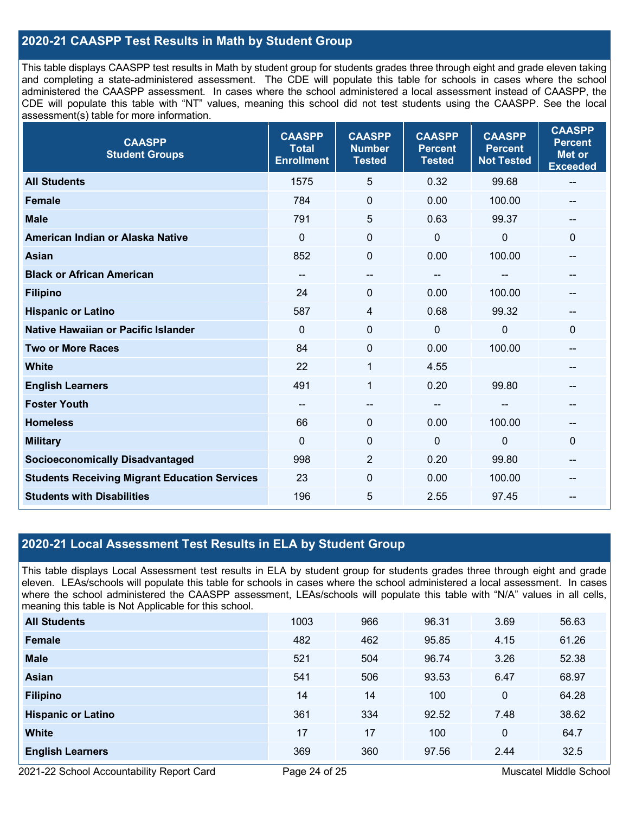### **2020-21 CAASPP Test Results in Math by Student Group**

This table displays CAASPP test results in Math by student group for students grades three through eight and grade eleven taking and completing a state-administered assessment. The CDE will populate this table for schools in cases where the school administered the CAASPP assessment. In cases where the school administered a local assessment instead of CAASPP, the CDE will populate this table with "NT" values, meaning this school did not test students using the CAASPP. See the local assessment(s) table for more information.

| <b>CAASPP</b><br><b>Student Groups</b>               | <b>CAASPP</b><br><b>Total</b><br><b>Enrollment</b> | <b>CAASPP</b><br><b>Number</b><br><b>Tested</b> | <b>CAASPP</b><br><b>Percent</b><br><b>Tested</b> | <b>CAASPP</b><br><b>Percent</b><br><b>Not Tested</b> | <b>CAASPP</b><br><b>Percent</b><br><b>Met or</b><br><b>Exceeded</b> |
|------------------------------------------------------|----------------------------------------------------|-------------------------------------------------|--------------------------------------------------|------------------------------------------------------|---------------------------------------------------------------------|
| <b>All Students</b>                                  | 1575                                               | 5                                               | 0.32                                             | 99.68                                                | $\overline{\phantom{a}}$                                            |
| <b>Female</b>                                        | 784                                                | $\mathbf 0$                                     | 0.00                                             | 100.00                                               |                                                                     |
| <b>Male</b>                                          | 791                                                | 5                                               | 0.63                                             | 99.37                                                | --                                                                  |
| American Indian or Alaska Native                     | $\Omega$                                           | 0                                               | $\mathbf 0$                                      | 0                                                    | $\mathbf 0$                                                         |
| <b>Asian</b>                                         | 852                                                | $\mathbf 0$                                     | 0.00                                             | 100.00                                               | --                                                                  |
| <b>Black or African American</b>                     | --                                                 | $\overline{\phantom{a}}$                        | --                                               |                                                      | --                                                                  |
| <b>Filipino</b>                                      | 24                                                 | $\mathbf 0$                                     | 0.00                                             | 100.00                                               | --                                                                  |
| <b>Hispanic or Latino</b>                            | 587                                                | 4                                               | 0.68                                             | 99.32                                                |                                                                     |
| <b>Native Hawaiian or Pacific Islander</b>           | $\mathbf 0$                                        | 0                                               | $\mathbf 0$                                      | 0                                                    | $\mathbf 0$                                                         |
| <b>Two or More Races</b>                             | 84                                                 | $\boldsymbol{0}$                                | 0.00                                             | 100.00                                               | --                                                                  |
| <b>White</b>                                         | 22                                                 | 1                                               | 4.55                                             |                                                      | --                                                                  |
| <b>English Learners</b>                              | 491                                                | 1                                               | 0.20                                             | 99.80                                                | --                                                                  |
| <b>Foster Youth</b>                                  |                                                    | --                                              |                                                  |                                                      |                                                                     |
| <b>Homeless</b>                                      | 66                                                 | $\mathbf 0$                                     | 0.00                                             | 100.00                                               | --                                                                  |
| <b>Military</b>                                      | $\mathbf 0$                                        | $\mathbf 0$                                     | $\mathbf 0$                                      | 0                                                    | $\mathbf 0$                                                         |
| <b>Socioeconomically Disadvantaged</b>               | 998                                                | $\overline{2}$                                  | 0.20                                             | 99.80                                                | --                                                                  |
| <b>Students Receiving Migrant Education Services</b> | 23                                                 | 0                                               | 0.00                                             | 100.00                                               | --                                                                  |
| <b>Students with Disabilities</b>                    | 196                                                | 5                                               | 2.55                                             | 97.45                                                |                                                                     |

#### **2020-21 Local Assessment Test Results in ELA by Student Group**

This table displays Local Assessment test results in ELA by student group for students grades three through eight and grade eleven. LEAs/schools will populate this table for schools in cases where the school administered a local assessment. In cases where the school administered the CAASPP assessment, LEAs/schools will populate this table with "N/A" values in all cells, meaning this table is Not Applicable for this school.

| <b>All Students</b>       | 1003 | 966 | 96.31 | 3.69 | 56.63 |
|---------------------------|------|-----|-------|------|-------|
| Female                    | 482  | 462 | 95.85 | 4.15 | 61.26 |
| <b>Male</b>               | 521  | 504 | 96.74 | 3.26 | 52.38 |
| Asian                     | 541  | 506 | 93.53 | 6.47 | 68.97 |
| <b>Filipino</b>           | 14   | 14  | 100   | 0    | 64.28 |
| <b>Hispanic or Latino</b> | 361  | 334 | 92.52 | 7.48 | 38.62 |
| <b>White</b>              | 17   | 17  | 100   | 0    | 64.7  |
| <b>English Learners</b>   | 369  | 360 | 97.56 | 2.44 | 32.5  |

2021-22 School Accountability Report Card **Page 24 of 25 Muscatel Middle School** Page 24 of 25 Muscatel Middle School